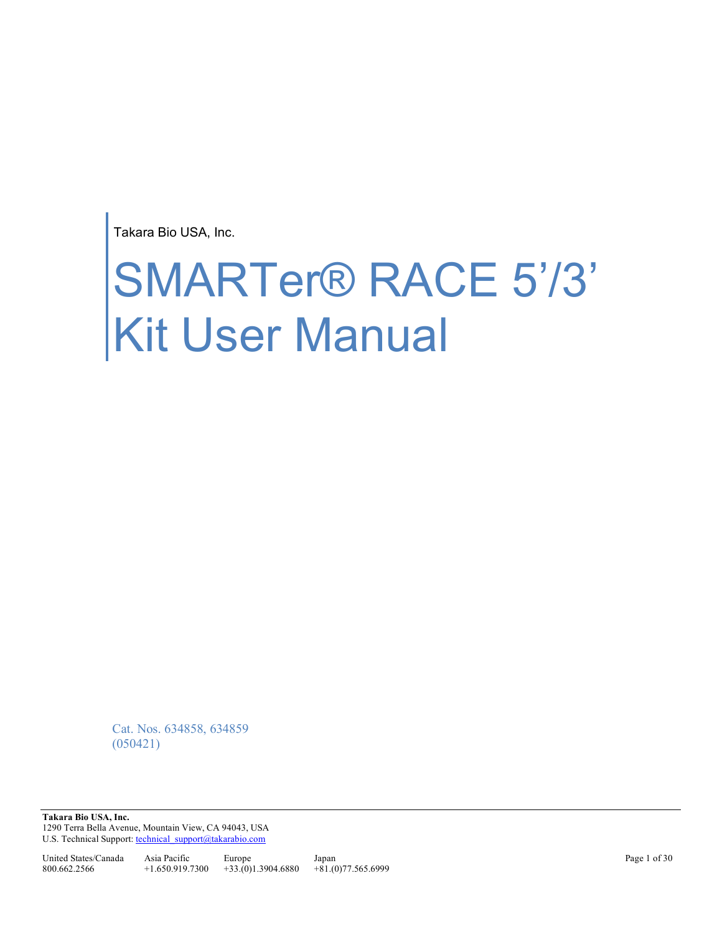Takara Bio USA, Inc.

# SMARTer® RACE 5'/3' Kit User Manual

Cat. Nos. 634858, 634859 (050421)

**Takara Bio USA, Inc.**  1290 Terra Bella Avenue, Mountain View, CA 94043, USA U.S. Technical Support[: technical\\_support@takarabio.com](mailto:technical_support@takarabio.com)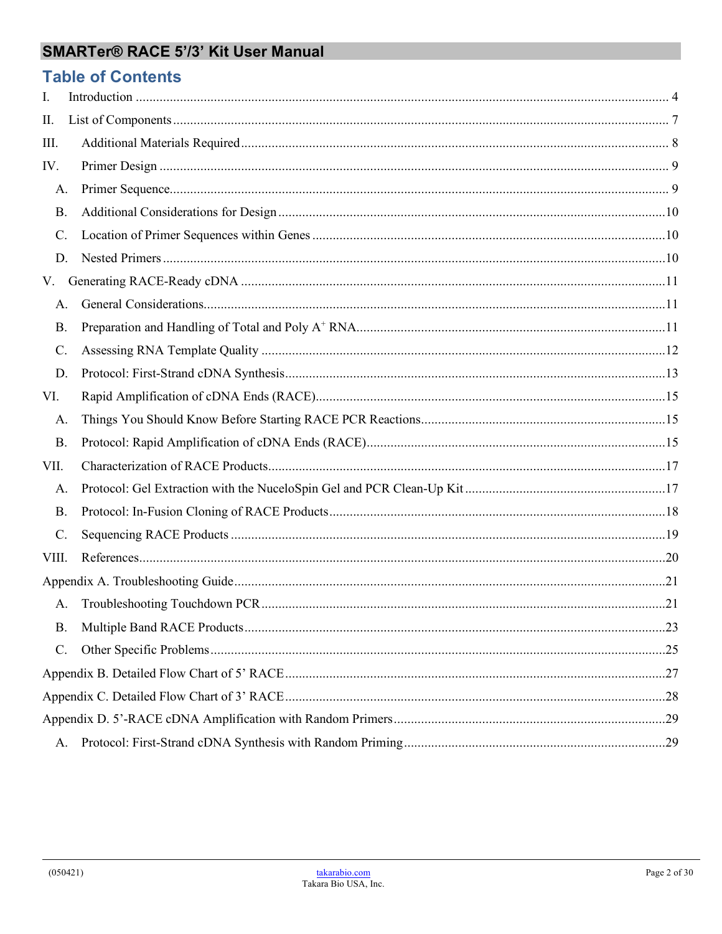|           | <b>Table of Contents</b> |  |
|-----------|--------------------------|--|
| Ι.        |                          |  |
| Π.        |                          |  |
| III.      |                          |  |
| IV.       |                          |  |
| A.        |                          |  |
| <b>B.</b> |                          |  |
| C.        |                          |  |
| D.        |                          |  |
| V.        |                          |  |
| A.        |                          |  |
| <b>B.</b> |                          |  |
| C.        |                          |  |
| D.        |                          |  |
| VI.       |                          |  |
| A.        |                          |  |
| <b>B.</b> |                          |  |
| VII.      |                          |  |
| A.        |                          |  |
| <b>B.</b> |                          |  |
| C.        |                          |  |
| VIII.     |                          |  |
|           |                          |  |
| A.        |                          |  |
| <b>B.</b> |                          |  |
| C.        |                          |  |
|           |                          |  |
|           |                          |  |
|           |                          |  |
| A.        |                          |  |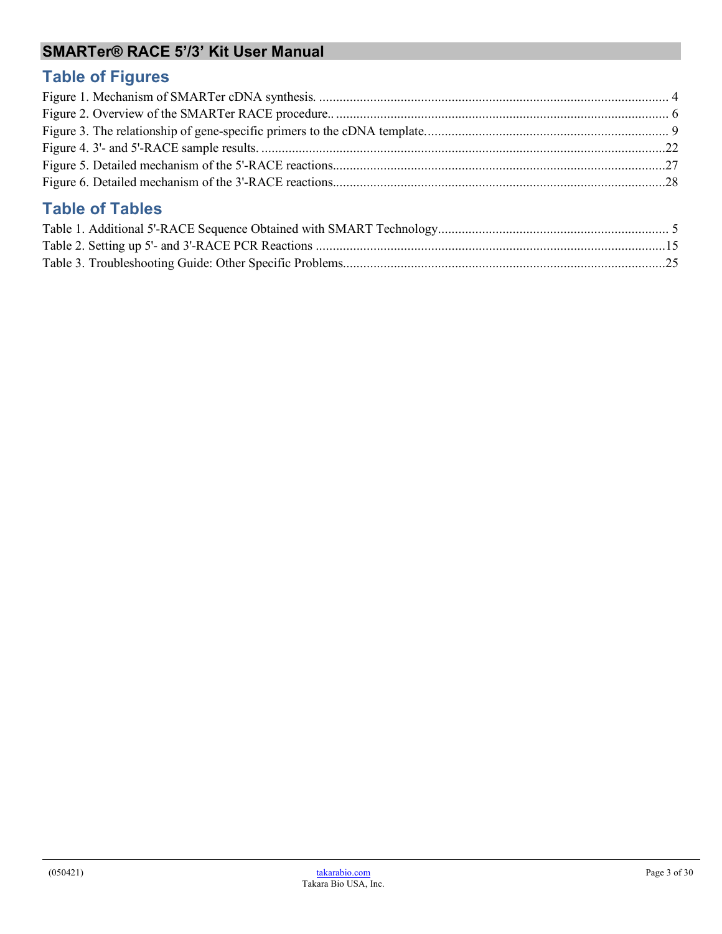# **Table of Figures**

# **Table of Tables**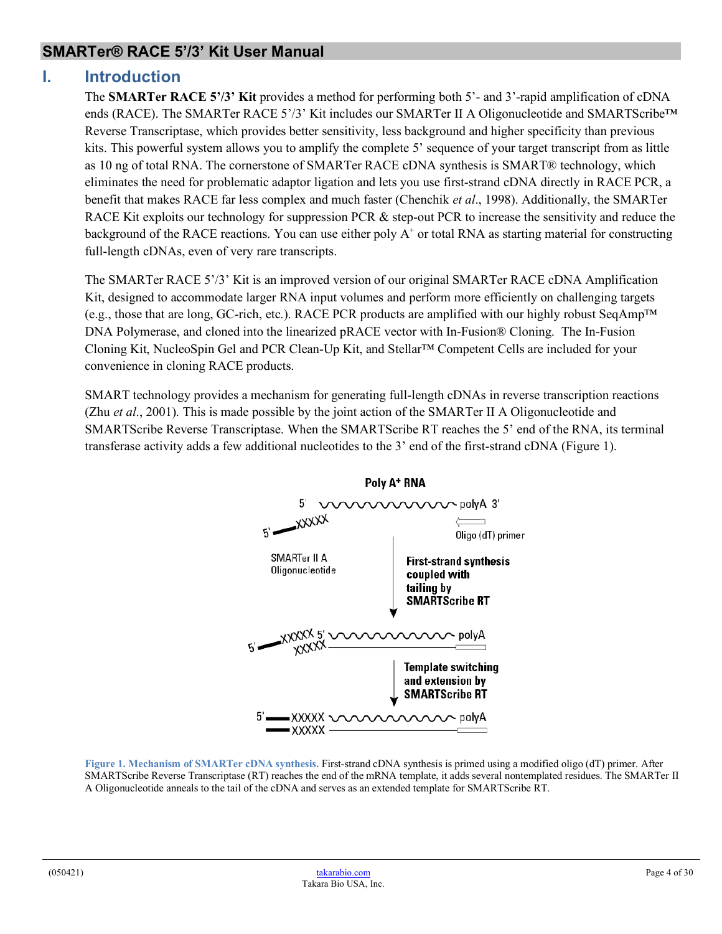#### <span id="page-3-0"></span>**I. Introduction**

The **SMARTer RACE 5'/3' Kit** provides a method for performing both 5'- and 3'-rapid amplification of cDNA ends (RACE). The SMARTer RACE 5'/3' Kit includes our SMARTer II A Oligonucleotide and SMARTScribe™ Reverse Transcriptase, which provides better sensitivity, less background and higher specificity than previous kits. This powerful system allows you to amplify the complete 5' sequence of your target transcript from as little as 10 ng of total RNA. The cornerstone of SMARTer RACE cDNA synthesis is SMART® technology, which eliminates the need for problematic adaptor ligation and lets you use first-strand cDNA directly in RACE PCR, a benefit that makes RACE far less complex and much faster (Chenchik *et al*., 1998). Additionally, the SMARTer RACE Kit exploits our technology for suppression PCR & step-out PCR to increase the sensitivity and reduce the background of the RACE reactions. You can use either poly  $A^+$  or total RNA as starting material for constructing full-length cDNAs, even of very rare transcripts.

The SMARTer RACE 5'/3' Kit is an improved version of our original SMARTer RACE cDNA Amplification Kit, designed to accommodate larger RNA input volumes and perform more efficiently on challenging targets (e.g., those that are long, GC-rich, etc.). RACE PCR products are amplified with our highly robust SeqAmp™ DNA Polymerase, and cloned into the linearized pRACE vector with In-Fusion® Cloning. The In-Fusion Cloning Kit, NucleoSpin Gel and PCR Clean-Up Kit, and Stellar™ Competent Cells are included for your convenience in cloning RACE products.

SMART technology provides a mechanism for generating full-length cDNAs in reverse transcription reactions (Zhu *et al*., 2001). This is made possible by the joint action of the SMARTer II A Oligonucleotide and SMARTScribe Reverse Transcriptase. When the SMARTScribe RT reaches the 5' end of the RNA, its terminal transferase activity adds a few additional nucleotides to the 3' end of the first-strand cDNA (Figure 1).



<span id="page-3-1"></span>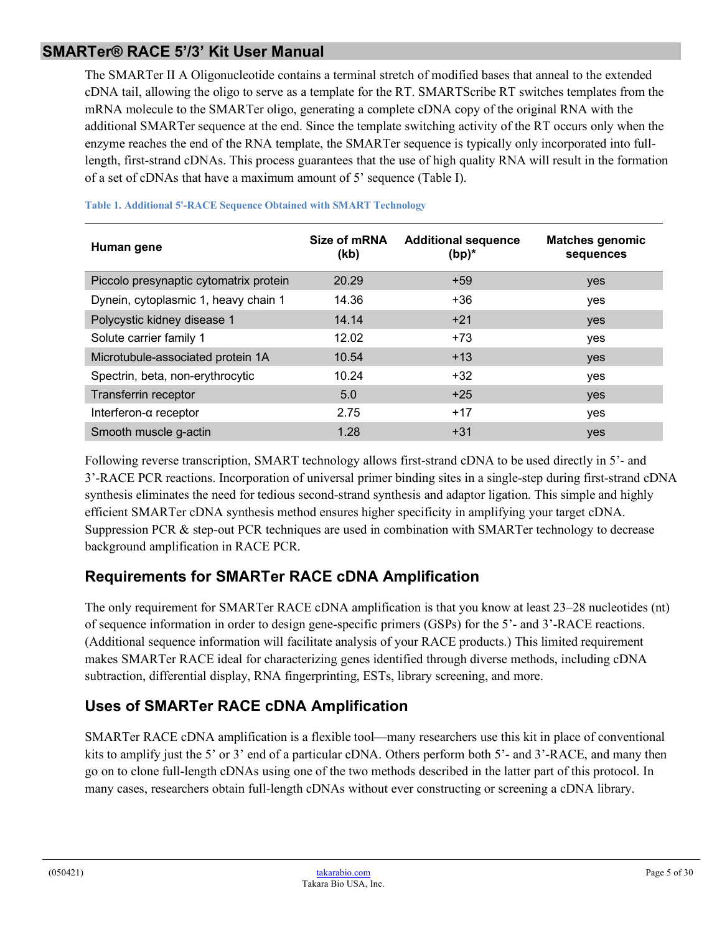The SMARTer II A Oligonucleotide contains a terminal stretch of modified bases that anneal to the extended cDNA tail, allowing the oligo to serve as a template for the RT. SMARTScribe RT switches templates from the mRNA molecule to the SMARTer oligo, generating a complete cDNA copy of the original RNA with the additional SMARTer sequence at the end. Since the template switching activity of the RT occurs only when the enzyme reaches the end of the RNA template, the SMARTer sequence is typically only incorporated into fulllength, first-strand cDNAs. This process guarantees that the use of high quality RNA will result in the formation of a set of cDNAs that have a maximum amount of 5' sequence (Table I).

| Human gene                             | Size of mRNA<br>(kb) | <b>Additional sequence</b><br>$(bp)^*$ | <b>Matches genomic</b><br>sequences |
|----------------------------------------|----------------------|----------------------------------------|-------------------------------------|
| Piccolo presynaptic cytomatrix protein | 20.29                | $+59$                                  | yes                                 |
| Dynein, cytoplasmic 1, heavy chain 1   | 14.36                | +36                                    | yes                                 |
| Polycystic kidney disease 1            | 14.14                | $+21$                                  | yes                                 |
| Solute carrier family 1                | 12.02                | $+73$                                  | yes                                 |
| Microtubule-associated protein 1A      | 10.54                | $+13$                                  | yes                                 |
| Spectrin, beta, non-erythrocytic       | 10.24                | $+32$                                  | yes                                 |
| Transferrin receptor                   | 5.0                  | $+25$                                  | yes                                 |
| Interferon- $\alpha$ receptor          | 2.75                 | $+17$                                  | yes                                 |
| Smooth muscle g-actin                  | 1.28                 | $+31$                                  | yes                                 |

#### <span id="page-4-0"></span>**Table 1. Additional 5'-RACE Sequence Obtained with SMART Technology**

Following reverse transcription, SMART technology allows first-strand cDNA to be used directly in 5'- and 3'-RACE PCR reactions. Incorporation of universal primer binding sites in a single-step during first-strand cDNA synthesis eliminates the need for tedious second-strand synthesis and adaptor ligation. This simple and highly efficient SMARTer cDNA synthesis method ensures higher specificity in amplifying your target cDNA. Suppression PCR & step-out PCR techniques are used in combination with SMARTer technology to decrease background amplification in RACE PCR.

# **Requirements for SMARTer RACE cDNA Amplification**

The only requirement for SMARTer RACE cDNA amplification is that you know at least 23–28 nucleotides (nt) of sequence information in order to design gene-specific primers (GSPs) for the 5'- and 3'-RACE reactions. (Additional sequence information will facilitate analysis of your RACE products.) This limited requirement makes SMARTer RACE ideal for characterizing genes identified through diverse methods, including cDNA subtraction, differential display, RNA fingerprinting, ESTs, library screening, and more.

# **Uses of SMARTer RACE cDNA Amplification**

SMARTer RACE cDNA amplification is a flexible tool—many researchers use this kit in place of conventional kits to amplify just the 5' or 3' end of a particular cDNA. Others perform both 5'- and 3'-RACE, and many then go on to clone full-length cDNAs using one of the two methods described in the latter part of this protocol. In many cases, researchers obtain full-length cDNAs without ever constructing or screening a cDNA library.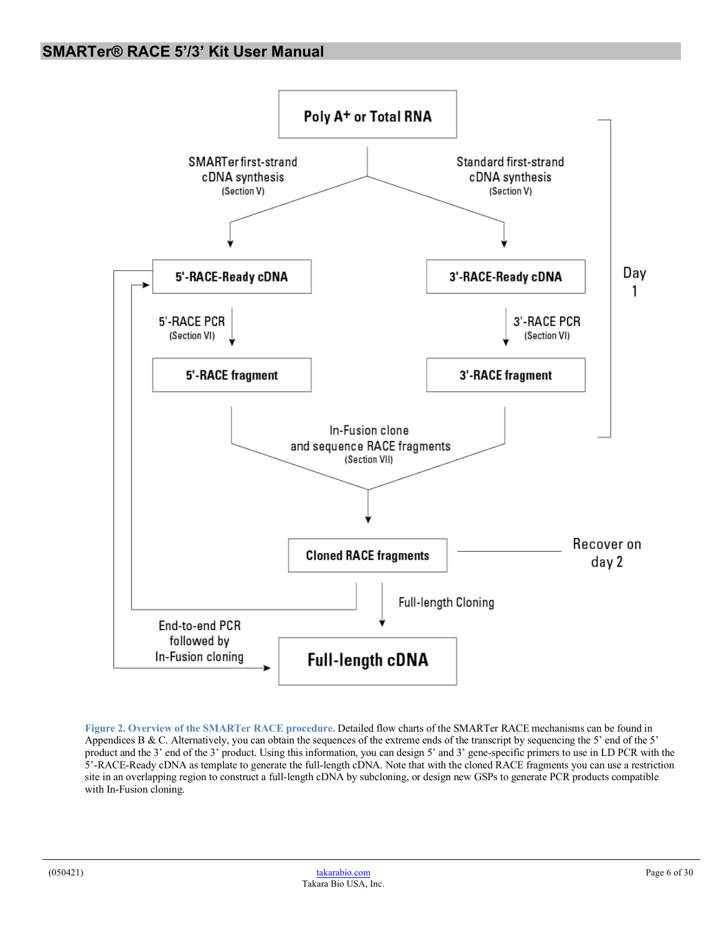

<span id="page-5-0"></span>**Figure 2. Overview of the SMARTer RACE procedure.** Detailed flow charts of the SMARTer RACE mechanisms can be found in Appendices B & C. Alternatively, you can obtain the sequences of the extreme ends of the transcript by sequencing the 5' end of the 5' product and the 3' end of the 3' product. Using this information, you can design 5' and 3' gene-specific primers to use in LD PCR with the 5'-RACE-Ready cDNA as template to generate the full-length cDNA. Note that with the cloned RACE fragments you can use a restriction site in an overlapping region to construct a full-length cDNA by subcloning, or design new GSPs to generate PCR products compatible with In-Fusion cloning.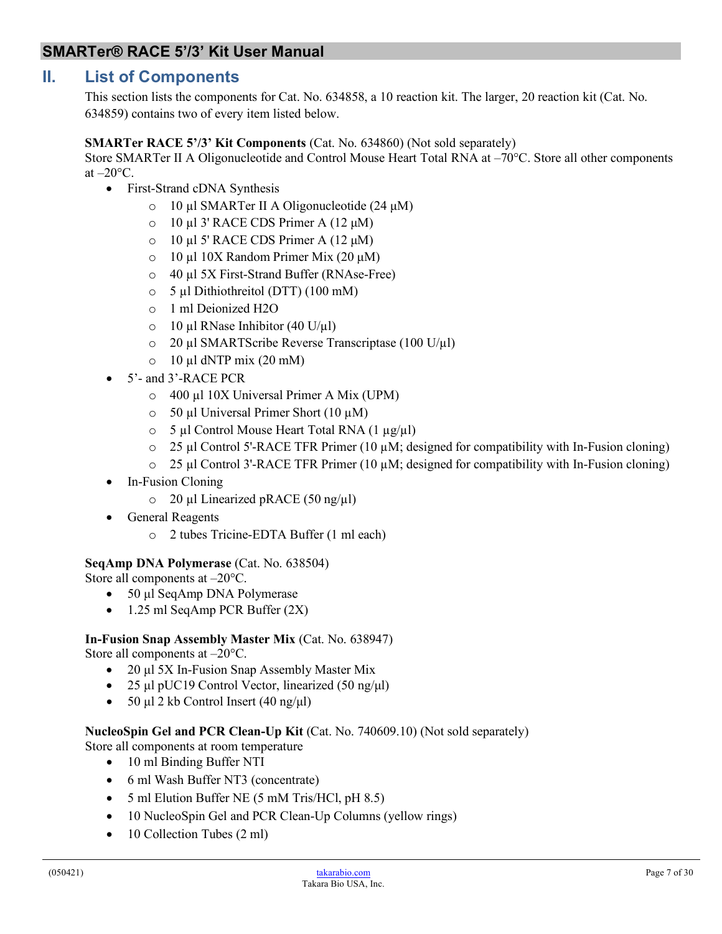#### <span id="page-6-0"></span>**II. List of Components**

This section lists the components for Cat. No. 634858, a 10 reaction kit. The larger, 20 reaction kit (Cat. No. 634859) contains two of every item listed below.

#### **SMARTer RACE 5'/3' Kit Components** (Cat. No. 634860) (Not sold separately)

Store SMARTer II A Oligonucleotide and Control Mouse Heart Total RNA at –70°C. Store all other components at  $-20$ °C.

- First-Strand cDNA Synthesis
	- o 10 µl SMARTer II A Oligonucleotide (24 μM)
	- $o$  10 μl 3' RACE CDS Primer A (12 μM)
	- $o$  10 μl 5' RACE CDS Primer A (12 μM)
	- o 10 µl 10X Random Primer Mix (20 μM)
	- o 40 µl 5X First-Strand Buffer (RNAse-Free)
	- o 5 µl Dithiothreitol (DTT) (100 mM)
	- o 1 ml Deionized H2O
	- $\circ$  10 µl RNase Inhibitor (40 U/µl)
	- o 20 µl SMARTScribe Reverse Transcriptase (100 U/µl)
	- $\circ$  10 µl dNTP mix (20 mM)
- 5'- and 3'-RACE PCR
	- o 400 µl 10X Universal Primer A Mix (UPM)
	- $\circ$  50 µl Universal Primer Short (10 µM)
	- $\circ$  5 µl Control Mouse Heart Total RNA (1 µg/µl)
	- o 25 µl Control 5'-RACE TFR Primer (10 µM; designed for compatibility with In-Fusion cloning)
	- $\circ$  25 µl Control 3'-RACE TFR Primer (10 µM; designed for compatibility with In-Fusion cloning)
- In-Fusion Cloning
	- $\circ$  20 µl Linearized pRACE (50 ng/µl)
- General Reagents
	- o 2 tubes Tricine-EDTA Buffer (1 ml each)

#### **SeqAmp DNA Polymerase** (Cat. No. 638504)

Store all components at –20°C.

- 50 μl SeqAmp DNA Polymerase
- 1.25 ml SeqAmp PCR Buffer (2X)

#### **In-Fusion Snap Assembly Master Mix** (Cat. No. 638947)

Store all components at –20°C.

- 20 μl 5X In-Fusion Snap Assembly Master Mix
- 25 μl pUC19 Control Vector, linearized (50 ng/μl)
- 50 μl 2 kb Control Insert  $(40 \text{ ng/µl})$

#### **NucleoSpin Gel and PCR Clean-Up Kit** (Cat. No. 740609.10) (Not sold separately)

Store all components at room temperature

- 10 ml Binding Buffer NTI
- 6 ml Wash Buffer NT3 (concentrate)
- 5 ml Elution Buffer NE (5 mM Tris/HCl, pH 8.5)
- 10 NucleoSpin Gel and PCR Clean-Up Columns (yellow rings)
- 10 Collection Tubes (2 ml)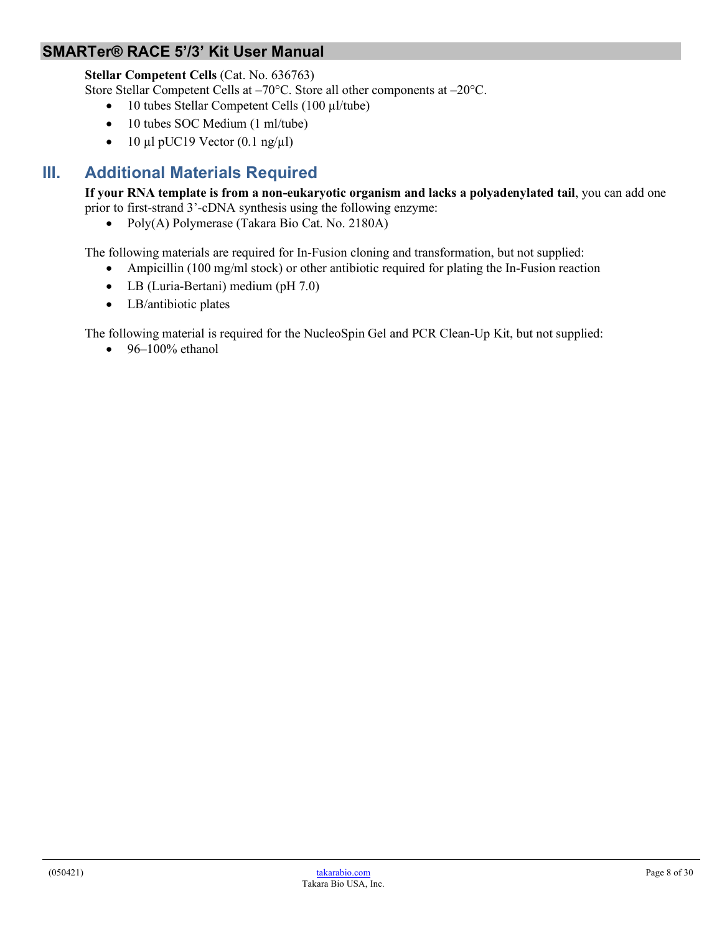#### **Stellar Competent Cells** (Cat. No. 636763)

Store Stellar Competent Cells at –70°C. Store all other components at –20°C.

- 10 tubes Stellar Competent Cells (100 µl/tube)
- 10 tubes SOC Medium (1 ml/tube)
- 10 µl pUC19 Vector  $(0.1 \text{ ng}/\mu\text{l})$

# <span id="page-7-0"></span>**III. Additional Materials Required**

**If your RNA template is from a non-eukaryotic organism and lacks a polyadenylated tail**, you can add one prior to first-strand 3'-cDNA synthesis using the following enzyme:

• Poly(A) Polymerase (Takara Bio Cat. No. 2180A)

The following materials are required for In-Fusion cloning and transformation, but not supplied:

- Ampicillin (100 mg/ml stock) or other antibiotic required for plating the In-Fusion reaction
- LB (Luria-Bertani) medium (pH 7.0)
- LB/antibiotic plates

The following material is required for the NucleoSpin Gel and PCR Clean-Up Kit, but not supplied:

 $\bullet$  96–100% ethanol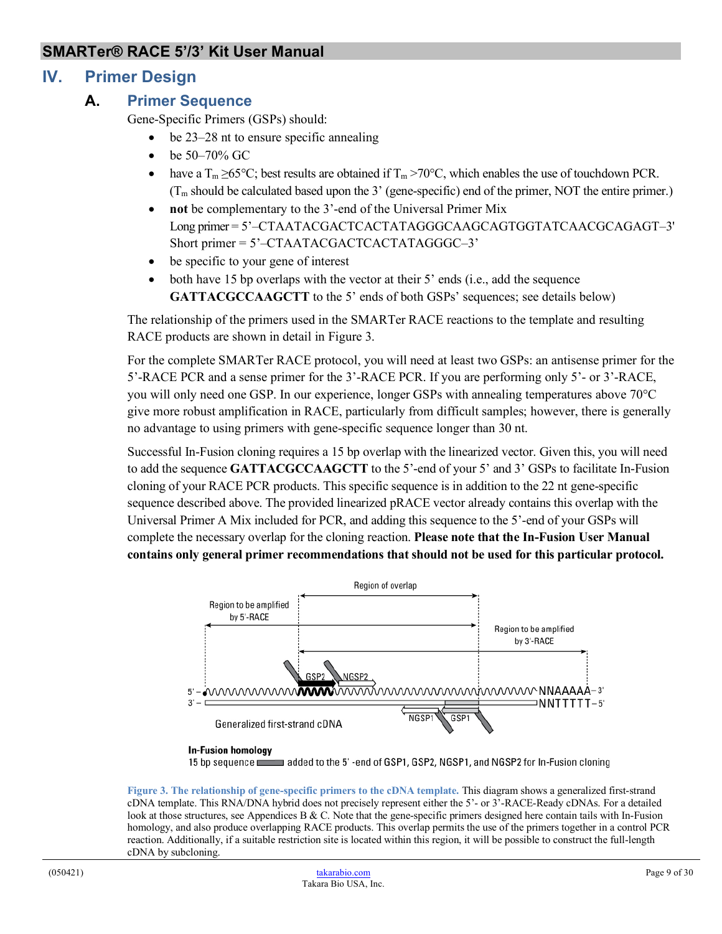# <span id="page-8-1"></span><span id="page-8-0"></span>**IV. Primer Design**

## **A. Primer Sequence**

Gene-Specific Primers (GSPs) should:

- be 23–28 nt to ensure specific annealing
- be  $50-70\%$  GC
- have a  $T_m \ge 65^{\circ}$ C; best results are obtained if  $T_m > 70^{\circ}$ C, which enables the use of touchdown PCR.  $(T_m$  should be calculated based upon the 3' (gene-specific) end of the primer, NOT the entire primer.)
- **not** be complementary to the 3'-end of the Universal Primer Mix Long primer = 5'–CTAATACGACTCACTATAGGGCAAGCAGTGGTATCAACGCAGAGT–3' Short primer = 5'–CTAATACGACTCACTATAGGGC–3'
- be specific to your gene of interest
- both have 15 bp overlaps with the vector at their 5' ends (i.e., add the sequence **GATTACGCCAAGCTT** to the 5' ends of both GSPs' sequences; see details below)

The relationship of the primers used in the SMARTer RACE reactions to the template and resulting RACE products are shown in detail in Figure 3.

For the complete SMARTer RACE protocol, you will need at least two GSPs: an antisense primer for the 5'-RACE PCR and a sense primer for the 3'-RACE PCR. If you are performing only 5'- or 3'-RACE, you will only need one GSP. In our experience, longer GSPs with annealing temperatures above 70°C give more robust amplification in RACE, particularly from difficult samples; however, there is generally no advantage to using primers with gene-specific sequence longer than 30 nt.

Successful In-Fusion cloning requires a 15 bp overlap with the linearized vector. Given this, you will need to add the sequence **GATTACGCCAAGCTT** to the 5'-end of your 5' and 3' GSPs to facilitate In-Fusion cloning of your RACE PCR products. This specific sequence is in addition to the 22 nt gene-specific sequence described above. The provided linearized pRACE vector already contains this overlap with the Universal Primer A Mix included for PCR, and adding this sequence to the 5'-end of your GSPs will complete the necessary overlap for the cloning reaction. **Please note that the In-Fusion User Manual contains only general primer recommendations that should not be used for this particular protocol.**



#### **In-Fusion homology**

15 bp sequence and added to the 5'-end of GSP1, GSP2, NGSP1, and NGSP2 for In-Fusion cloning

<span id="page-8-2"></span>**Figure 3. The relationship of gene-specific primers to the cDNA template.** This diagram shows a generalized first-strand cDNA template. This RNA/DNA hybrid does not precisely represent either the 5'- or 3'-RACE-Ready cDNAs. For a detailed look at those structures, see Appendices B & C. Note that the gene-specific primers designed here contain tails with In-Fusion homology, and also produce overlapping RACE products. This overlap permits the use of the primers together in a control PCR reaction. Additionally, if a suitable restriction site is located within this region, it will be possible to construct the full-length cDNA by subcloning.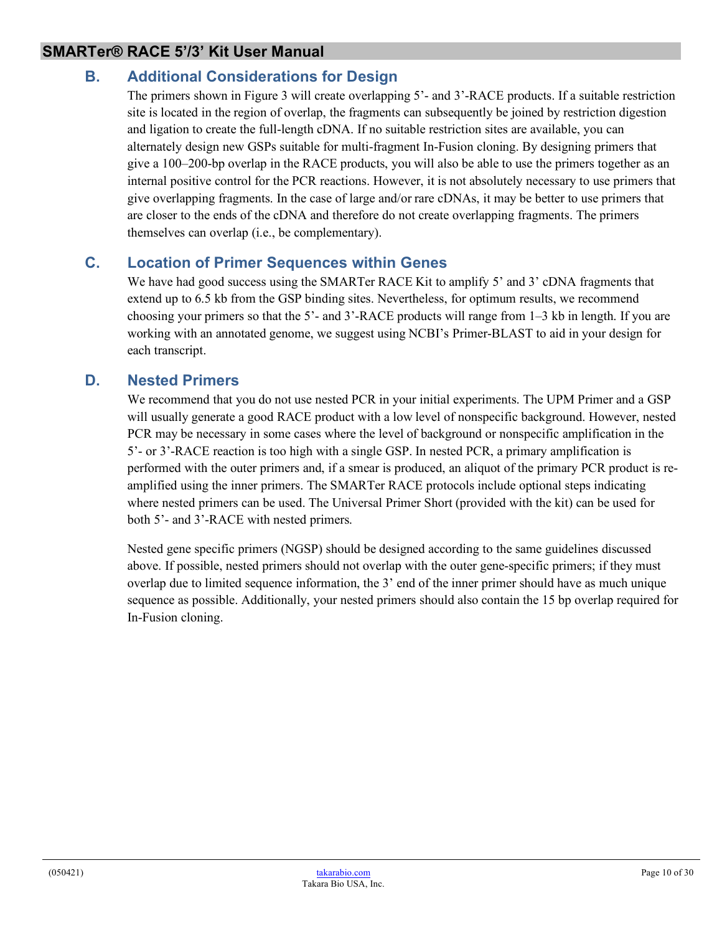## <span id="page-9-0"></span>**B. Additional Considerations for Design**

The primers shown in Figure 3 will create overlapping 5'- and 3'-RACE products. If a suitable restriction site is located in the region of overlap, the fragments can subsequently be joined by restriction digestion and ligation to create the full-length cDNA. If no suitable restriction sites are available, you can alternately design new GSPs suitable for multi-fragment In-Fusion cloning. By designing primers that give a 100–200-bp overlap in the RACE products, you will also be able to use the primers together as an internal positive control for the PCR reactions. However, it is not absolutely necessary to use primers that give overlapping fragments. In the case of large and/or rare cDNAs, it may be better to use primers that are closer to the ends of the cDNA and therefore do not create overlapping fragments. The primers themselves can overlap (i.e., be complementary).

## <span id="page-9-1"></span>**C. Location of Primer Sequences within Genes**

We have had good success using the SMARTer RACE Kit to amplify 5' and 3' cDNA fragments that extend up to 6.5 kb from the GSP binding sites. Nevertheless, for optimum results, we recommend choosing your primers so that the 5'- and 3'-RACE products will range from 1–3 kb in length. If you are working with an annotated genome, we suggest using NCBI's Primer-BLAST to aid in your design for each transcript.

#### <span id="page-9-2"></span>**D. Nested Primers**

We recommend that you do not use nested PCR in your initial experiments. The UPM Primer and a GSP will usually generate a good RACE product with a low level of nonspecific background. However, nested PCR may be necessary in some cases where the level of background or nonspecific amplification in the 5'- or 3'-RACE reaction is too high with a single GSP. In nested PCR, a primary amplification is performed with the outer primers and, if a smear is produced, an aliquot of the primary PCR product is reamplified using the inner primers. The SMARTer RACE protocols include optional steps indicating where nested primers can be used. The Universal Primer Short (provided with the kit) can be used for both 5'- and 3'-RACE with nested primers.

Nested gene specific primers (NGSP) should be designed according to the same guidelines discussed above. If possible, nested primers should not overlap with the outer gene-specific primers; if they must overlap due to limited sequence information, the 3' end of the inner primer should have as much unique sequence as possible. Additionally, your nested primers should also contain the 15 bp overlap required for In-Fusion cloning.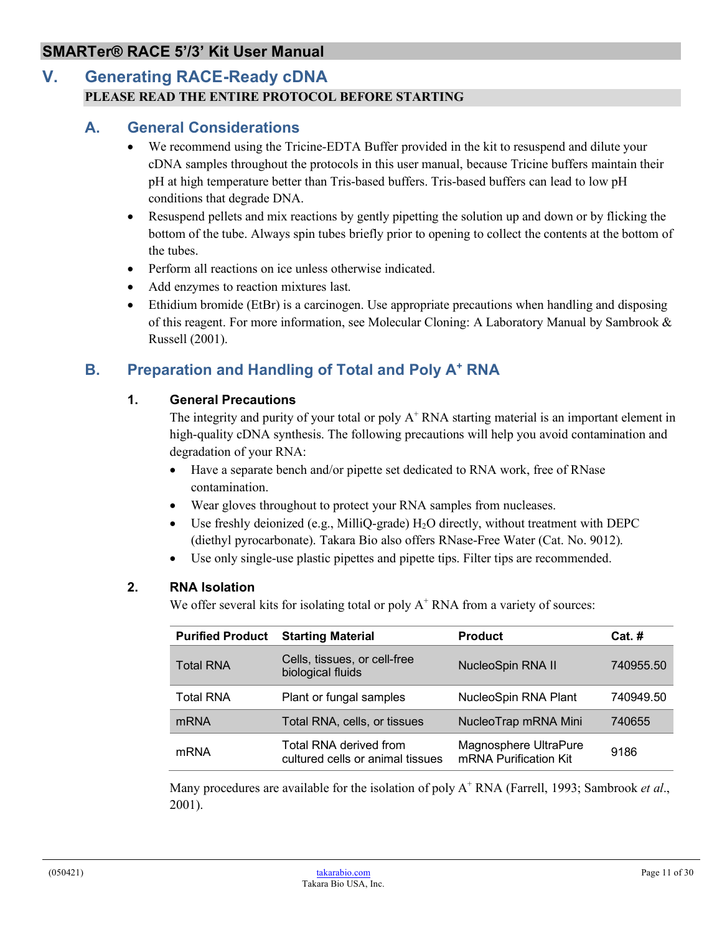# <span id="page-10-0"></span>**V. Generating RACE-Ready cDNA PLEASE READ THE ENTIRE PROTOCOL BEFORE STARTING**

## <span id="page-10-1"></span>**A. General Considerations**

- We recommend using the Tricine-EDTA Buffer provided in the kit to resuspend and dilute your cDNA samples throughout the protocols in this user manual, because Tricine buffers maintain their pH at high temperature better than Tris-based buffers. Tris-based buffers can lead to low pH conditions that degrade DNA.
- Resuspend pellets and mix reactions by gently pipetting the solution up and down or by flicking the bottom of the tube. Always spin tubes briefly prior to opening to collect the contents at the bottom of the tubes.
- Perform all reactions on ice unless otherwise indicated.
- Add enzymes to reaction mixtures last.
- Ethidium bromide (EtBr) is a carcinogen. Use appropriate precautions when handling and disposing of this reagent. For more information, see Molecular Cloning: A Laboratory Manual by Sambrook & Russell (2001).

# <span id="page-10-2"></span>**B. Preparation and Handling of Total and Poly A+ RNA**

#### **1. General Precautions**

The integrity and purity of your total or poly  $A^+$  RNA starting material is an important element in high-quality cDNA synthesis. The following precautions will help you avoid contamination and degradation of your RNA:

- Have a separate bench and/or pipette set dedicated to RNA work, free of RNase contamination.
- Wear gloves throughout to protect your RNA samples from nucleases.
- Use freshly deionized (e.g., MilliQ-grade)  $H_2O$  directly, without treatment with DEPC (diethyl pyrocarbonate). Takara Bio also offers RNase-Free Water (Cat. No. 9012).
- Use only single-use plastic pipettes and pipette tips. Filter tips are recommended.

#### **2. RNA Isolation**

We offer several kits for isolating total or poly  $A^+$  RNA from a variety of sources:

| <b>Purified Product</b> | <b>Starting Material</b>                                   | <b>Product</b>                                 | Cat. #    |
|-------------------------|------------------------------------------------------------|------------------------------------------------|-----------|
| <b>Total RNA</b>        | Cells, tissues, or cell-free<br>biological fluids          | NucleoSpin RNA II                              | 740955.50 |
| <b>Total RNA</b>        | Plant or fungal samples                                    | NucleoSpin RNA Plant                           | 740949.50 |
| <b>mRNA</b>             | Total RNA, cells, or tissues                               | NucleoTrap mRNA Mini                           | 740655    |
| <b>mRNA</b>             | Total RNA derived from<br>cultured cells or animal tissues | Magnosphere UltraPure<br>mRNA Purification Kit | 9186      |

Many procedures are available for the isolation of poly A+ RNA (Farrell, 1993; Sambrook *et al*., 2001).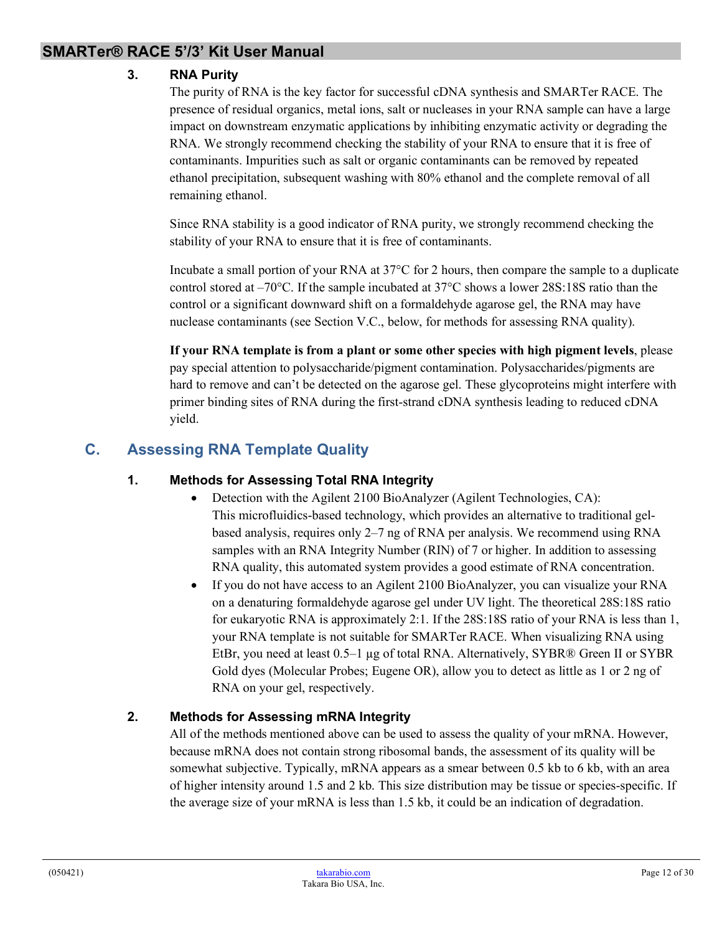#### **3. RNA Purity**

The purity of RNA is the key factor for successful cDNA synthesis and SMARTer RACE. The presence of residual organics, metal ions, salt or nucleases in your RNA sample can have a large impact on downstream enzymatic applications by inhibiting enzymatic activity or degrading the RNA. We strongly recommend checking the stability of your RNA to ensure that it is free of contaminants. Impurities such as salt or organic contaminants can be removed by repeated ethanol precipitation, subsequent washing with 80% ethanol and the complete removal of all remaining ethanol.

Since RNA stability is a good indicator of RNA purity, we strongly recommend checking the stability of your RNA to ensure that it is free of contaminants.

Incubate a small portion of your RNA at 37°C for 2 hours, then compare the sample to a duplicate control stored at –70°C. If the sample incubated at 37°C shows a lower 28S:18S ratio than the control or a significant downward shift on a formaldehyde agarose gel, the RNA may have nuclease contaminants (see Section V.C., below, for methods for assessing RNA quality).

**If your RNA template is from a plant or some other species with high pigment levels**, please pay special attention to polysaccharide/pigment contamination. Polysaccharides/pigments are hard to remove and can't be detected on the agarose gel. These glycoproteins might interfere with primer binding sites of RNA during the first-strand cDNA synthesis leading to reduced cDNA yield.

# <span id="page-11-0"></span>**C. Assessing RNA Template Quality**

#### **1. Methods for Assessing Total RNA Integrity**

- Detection with the Agilent 2100 BioAnalyzer (Agilent Technologies, CA): This microfluidics-based technology, which provides an alternative to traditional gelbased analysis, requires only 2–7 ng of RNA per analysis. We recommend using RNA samples with an RNA Integrity Number (RIN) of 7 or higher. In addition to assessing RNA quality, this automated system provides a good estimate of RNA concentration.
- If you do not have access to an Agilent 2100 BioAnalyzer, you can visualize your RNA on a denaturing formaldehyde agarose gel under UV light. The theoretical 28S:18S ratio for eukaryotic RNA is approximately 2:1. If the 28S:18S ratio of your RNA is less than 1, your RNA template is not suitable for SMARTer RACE. When visualizing RNA using EtBr, you need at least 0.5–1 µg of total RNA. Alternatively, SYBR® Green II or SYBR Gold dyes (Molecular Probes; Eugene OR), allow you to detect as little as 1 or 2 ng of RNA on your gel, respectively.

#### **2. Methods for Assessing mRNA Integrity**

All of the methods mentioned above can be used to assess the quality of your mRNA. However, because mRNA does not contain strong ribosomal bands, the assessment of its quality will be somewhat subjective. Typically, mRNA appears as a smear between 0.5 kb to 6 kb, with an area of higher intensity around 1.5 and 2 kb. This size distribution may be tissue or species-specific. If the average size of your mRNA is less than 1.5 kb, it could be an indication of degradation.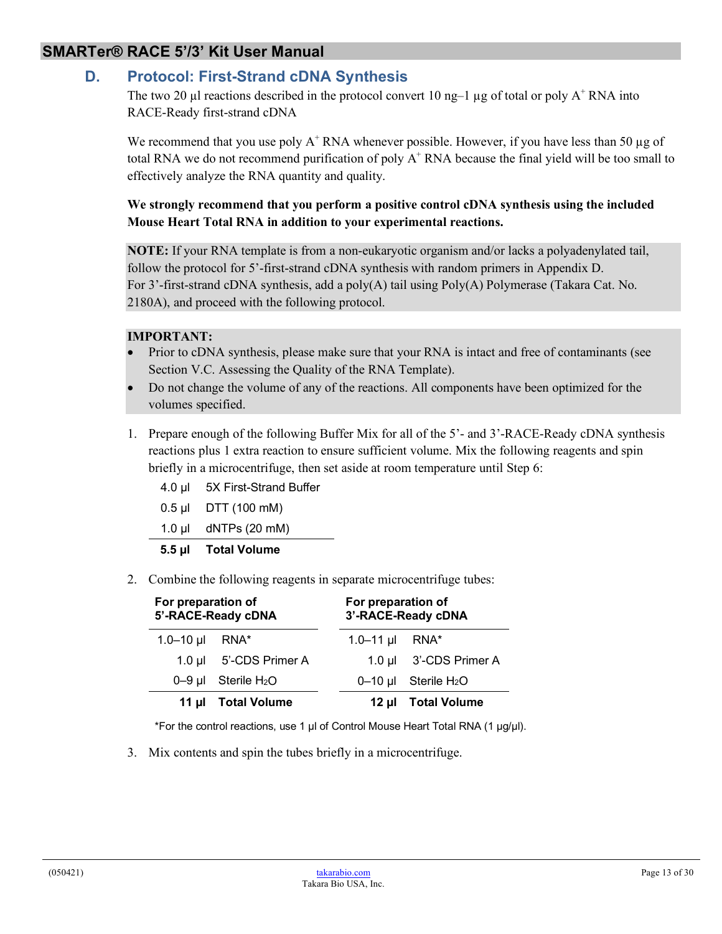## <span id="page-12-0"></span>**D. Protocol: First-Strand cDNA Synthesis**

The two 20  $\mu$ l reactions described in the protocol convert 10 ng–1  $\mu$ g of total or poly A<sup>+</sup> RNA into RACE-Ready first-strand cDNA

We recommend that you use poly  $A^+$  RNA whenever possible. However, if you have less than 50 µg of total RNA we do not recommend purification of poly  $A^+$  RNA because the final yield will be too small to effectively analyze the RNA quantity and quality.

#### **We strongly recommend that you perform a positive control cDNA synthesis using the included Mouse Heart Total RNA in addition to your experimental reactions.**

**NOTE:** If your RNA template is from a non-eukaryotic organism and/or lacks a polyadenylated tail, follow the protocol for 5'-first-strand cDNA synthesis with random primers in Appendix D. For 3'-first-strand cDNA synthesis, add a poly(A) tail using Poly(A) Polymerase (Takara Cat. No. 2180A), and proceed with the following protocol.

#### **IMPORTANT:**

- Prior to cDNA synthesis, please make sure that your RNA is intact and free of contaminants (see Section V.C. Assessing the Quality of the RNA Template).
- Do not change the volume of any of the reactions. All components have been optimized for the volumes specified.
- 1. Prepare enough of the following Buffer Mix for all of the 5'- and 3'-RACE-Ready cDNA synthesis reactions plus 1 extra reaction to ensure sufficient volume. Mix the following reagents and spin briefly in a microcentrifuge, then set aside at room temperature until Step 6:
	- 4.0 µl 5X First-Strand Buffer
	- 0.5 µl DTT (100 mM)
	- 1.0 µl dNTPs (20 mM)

#### **5.5 µl Total Volume**

2. Combine the following reagents in separate microcentrifuge tubes:

| For preparation of<br>5'-RACE-Ready cDNA |                     | For preparation of<br>3'-RACE-Ready cDNA |                                    |
|------------------------------------------|---------------------|------------------------------------------|------------------------------------|
| $1.0 - 10$ µl                            | RNA*                | $1.0 - 11$ µl                            | RNA*                               |
| $1.0$ ul                                 | 5'-CDS Primer A     | $1.0$ ul                                 | 3'-CDS Primer A                    |
| $0 - 9$ µ                                | Sterile $H_2O$      |                                          | $0-10$ µl Sterile H <sub>2</sub> O |
| 11 ul                                    | <b>Total Volume</b> | 12 ul                                    | <b>Total Volume</b>                |

\*For the control reactions, use 1 µl of Control Mouse Heart Total RNA (1 µg/µl).

3. Mix contents and spin the tubes briefly in a microcentrifuge.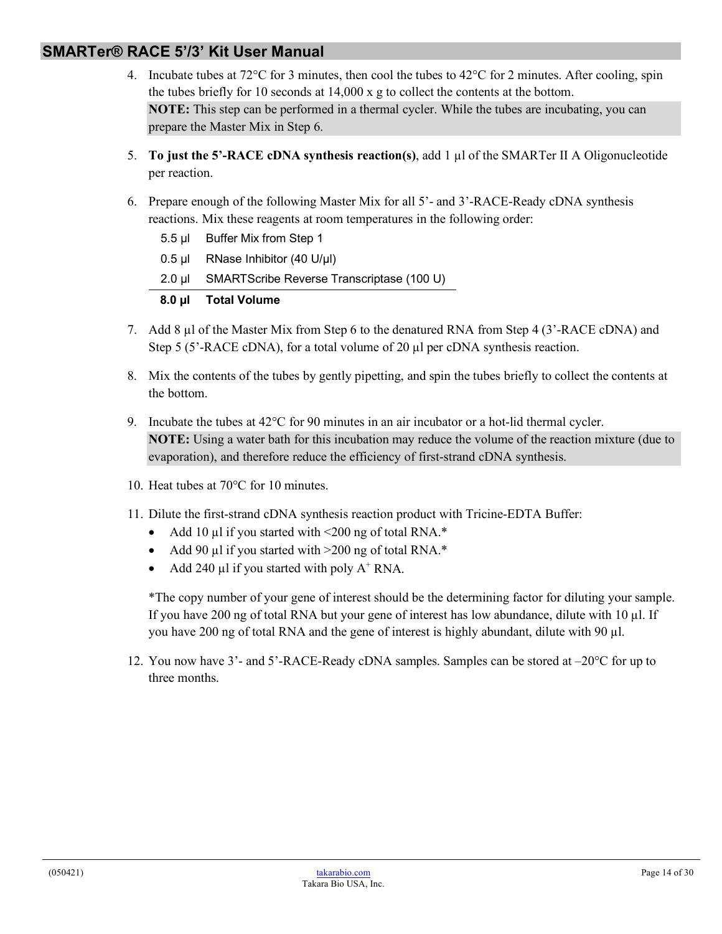- 4. Incubate tubes at 72°C for 3 minutes, then cool the tubes to 42°C for 2 minutes. After cooling, spin the tubes briefly for 10 seconds at 14,000 x g to collect the contents at the bottom. **NOTE:** This step can be performed in a thermal cycler. While the tubes are incubating, you can prepare the Master Mix in Step 6.
- 5. **To just the 5'-RACE cDNA synthesis reaction(s)**, add 1 µl of the SMARTer II A Oligonucleotide per reaction.
- 6. Prepare enough of the following Master Mix for all 5'- and 3'-RACE-Ready cDNA synthesis reactions. Mix these reagents at room temperatures in the following order:

| 8.0 µl Total Volume                              |
|--------------------------------------------------|
| 2.0 µl SMARTScribe Reverse Transcriptase (100 U) |
| $0.5$ µl RNase Inhibitor (40 U/µl)               |
| 5.5 µl Buffer Mix from Step 1                    |

- 7. Add 8 µl of the Master Mix from Step 6 to the denatured RNA from Step 4 (3'-RACE cDNA) and Step 5 (5'-RACE cDNA), for a total volume of 20  $\mu$ l per cDNA synthesis reaction.
- 8. Mix the contents of the tubes by gently pipetting, and spin the tubes briefly to collect the contents at the bottom.
- 9. Incubate the tubes at 42°C for 90 minutes in an air incubator or a hot-lid thermal cycler. **NOTE:** Using a water bath for this incubation may reduce the volume of the reaction mixture (due to evaporation), and therefore reduce the efficiency of first-strand cDNA synthesis.
- 10. Heat tubes at 70°C for 10 minutes.
- 11. Dilute the first-strand cDNA synthesis reaction product with Tricine-EDTA Buffer:
	- Add 10  $\mu$ l if you started with <200 ng of total RNA.\*
	- Add 90 µl if you started with >200 ng of total RNA.\*
	- Add 240 µl if you started with poly  $A^+$  RNA.

\*The copy number of your gene of interest should be the determining factor for diluting your sample. If you have 200 ng of total RNA but your gene of interest has low abundance, dilute with 10 µl. If you have 200 ng of total RNA and the gene of interest is highly abundant, dilute with 90 µl.

12. You now have 3'- and 5'-RACE-Ready cDNA samples. Samples can be stored at –20°C for up to three months.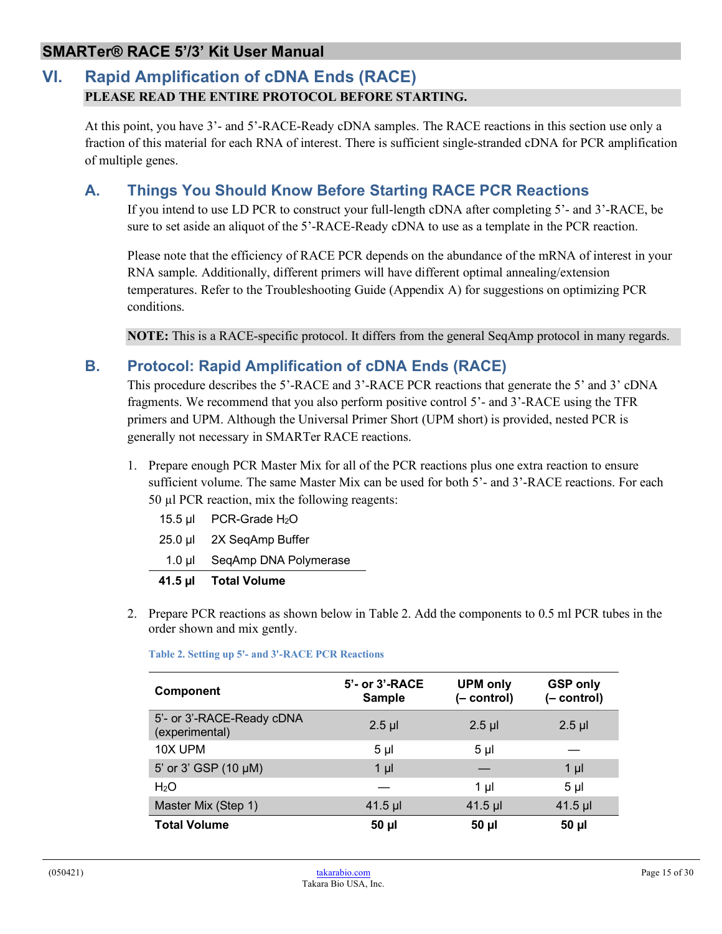# <span id="page-14-0"></span>**VI. Rapid Amplification of cDNA Ends (RACE) PLEASE READ THE ENTIRE PROTOCOL BEFORE STARTING.**

At this point, you have 3'- and 5'-RACE-Ready cDNA samples. The RACE reactions in this section use only a fraction of this material for each RNA of interest. There is sufficient single-stranded cDNA for PCR amplification of multiple genes.

# <span id="page-14-1"></span>**A. Things You Should Know Before Starting RACE PCR Reactions**

If you intend to use LD PCR to construct your full-length cDNA after completing 5'- and 3'-RACE, be sure to set aside an aliquot of the 5'-RACE-Ready cDNA to use as a template in the PCR reaction.

Please note that the efficiency of RACE PCR depends on the abundance of the mRNA of interest in your RNA sample. Additionally, different primers will have different optimal annealing/extension temperatures. Refer to the Troubleshooting Guide (Appendix A) for suggestions on optimizing PCR conditions.

**NOTE:** This is a RACE-specific protocol. It differs from the general SeqAmp protocol in many regards.

## <span id="page-14-2"></span>**B. Protocol: Rapid Amplification of cDNA Ends (RACE)**

This procedure describes the 5'-RACE and 3'-RACE PCR reactions that generate the 5' and 3' cDNA fragments. We recommend that you also perform positive control 5'- and 3'-RACE using the TFR primers and UPM. Although the Universal Primer Short (UPM short) is provided, nested PCR is generally not necessary in SMARTer RACE reactions.

- 1. Prepare enough PCR Master Mix for all of the PCR reactions plus one extra reaction to ensure sufficient volume. The same Master Mix can be used for both 5'- and 3'-RACE reactions. For each 50 µl PCR reaction, mix the following reagents:
	- 15.5 µl PCR-Grade H<sub>2</sub>O
	- 25.0 µl 2X SeqAmp Buffer
	- 1.0 µl SeqAmp DNA Polymerase

#### **41.5 µl Total Volume**

<span id="page-14-3"></span>2. Prepare PCR reactions as shown below in Table 2. Add the components to 0.5 ml PCR tubes in the order shown and mix gently.

**Component 5'- or 3'-RACE Sample UPM only (– control) GSP only (– control)** 5'- or 3'-RACE-Ready cDNA  $\frac{3.5 \text{ m}}{2.5 \text{ m}}$  2.5 µl 2.5 µl 2.5 µl 10X UPM 5 µl 5 µl —  $5'$  or  $3'$  GSP (10 µM) 1 µl  $-$  1 µl  $-$  1 µl H2O — 1 µl 5 µl Master Mix (Step 1) 41.5 ul 41.5 ul 41.5 ul 41.5 ul 41.5 ul **Total Volume 50 µl 50 µl 50 µl**

**Table 2. Setting up 5'- and 3'-RACE PCR Reactions**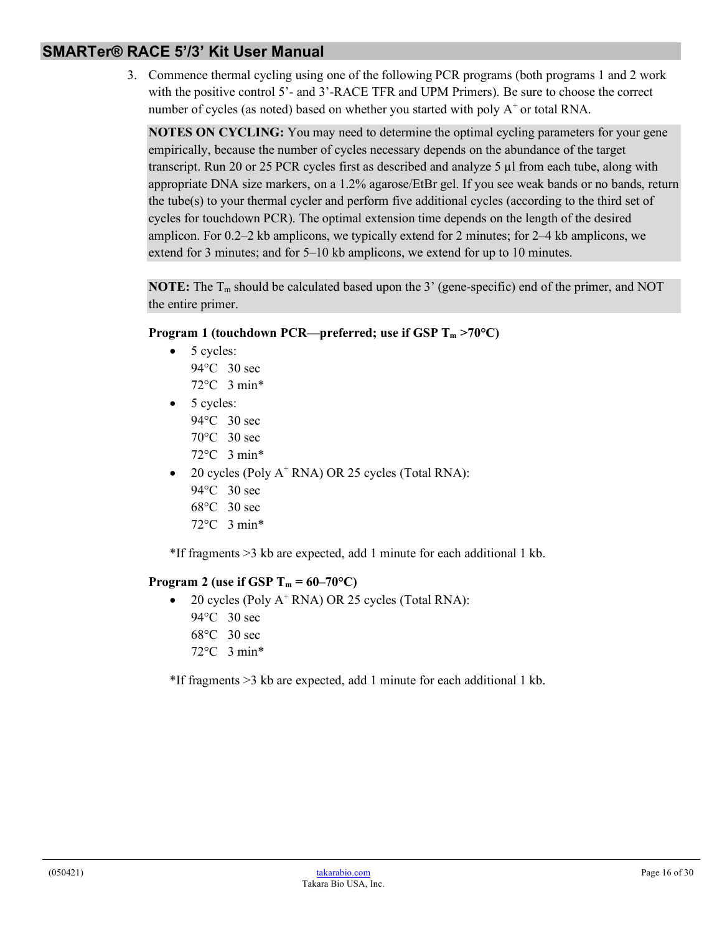3. Commence thermal cycling using one of the following PCR programs (both programs 1 and 2 work with the positive control 5<sup>-</sup>- and 3<sup>-</sup>-RACE TFR and UPM Primers). Be sure to choose the correct number of cycles (as noted) based on whether you started with poly  $A^+$  or total RNA.

**NOTES ON CYCLING:** You may need to determine the optimal cycling parameters for your gene empirically, because the number of cycles necessary depends on the abundance of the target transcript. Run 20 or 25 PCR cycles first as described and analyze  $5 \mu$  from each tube, along with appropriate DNA size markers, on a 1.2% agarose/EtBr gel. If you see weak bands or no bands, return the tube(s) to your thermal cycler and perform five additional cycles (according to the third set of cycles for touchdown PCR). The optimal extension time depends on the length of the desired amplicon. For 0.2–2 kb amplicons, we typically extend for 2 minutes; for 2–4 kb amplicons, we extend for 3 minutes; and for 5–10 kb amplicons, we extend for up to 10 minutes.

**NOTE:** The T<sub>m</sub> should be calculated based upon the 3' (gene-specific) end of the primer, and NOT the entire primer.

#### **Program 1 (touchdown PCR—preferred; use if GSP**  $T_m > 70^{\circ}C$ **)**

- 5 cycles: 94°C 30 sec 72°C 3 min\*
- 5 cycles: 94°C 30 sec 70°C 30 sec 72°C 3 min\*
- 20 cycles (Poly A+ RNA) OR 25 cycles (Total RNA):
	- 94°C 30 sec
	- 68°C 30 sec
	- 72°C 3 min\*

\*If fragments >3 kb are expected, add 1 minute for each additional 1 kb.

#### **Program 2** (use if GSP  $T_m = 60-70$ °C)

20 cycles (Poly  $A^+$  RNA) OR 25 cycles (Total RNA): 94°C 30 sec 68°C 30 sec 72°C 3 min\*

\*If fragments >3 kb are expected, add 1 minute for each additional 1 kb.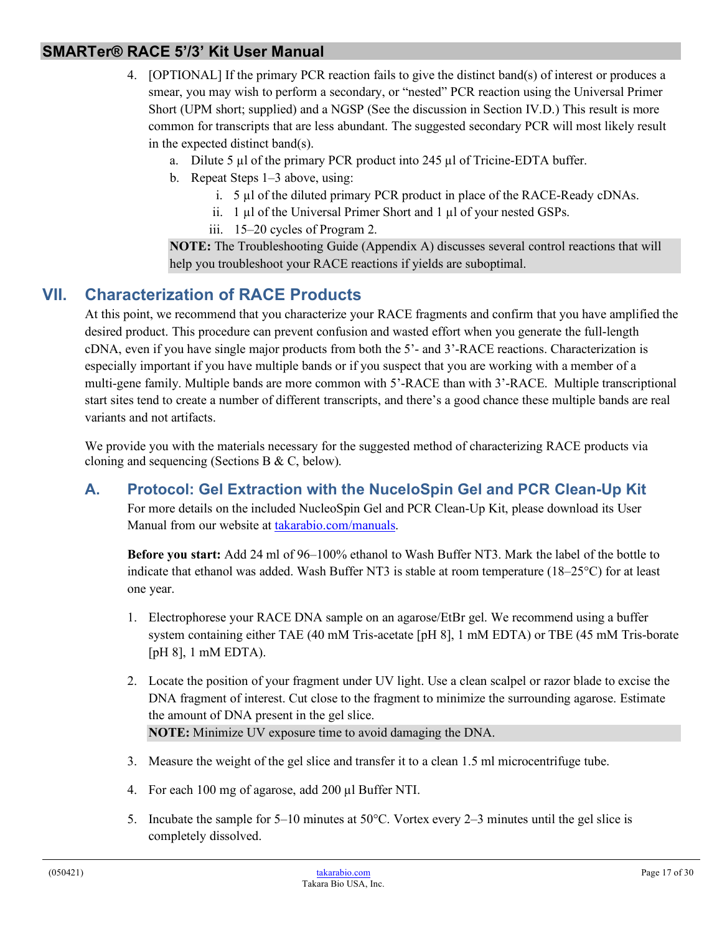- 4. [OPTIONAL] If the primary PCR reaction fails to give the distinct band(s) of interest or produces a smear, you may wish to perform a secondary, or "nested" PCR reaction using the Universal Primer Short (UPM short; supplied) and a NGSP (See the discussion in Section IV.D.) This result is more common for transcripts that are less abundant. The suggested secondary PCR will most likely result in the expected distinct band(s).
	- a. Dilute 5  $\mu$ l of the primary PCR product into 245  $\mu$ l of Tricine-EDTA buffer.
	- b. Repeat Steps 1–3 above, using:
		- i. 5 µl of the diluted primary PCR product in place of the RACE-Ready cDNAs.
		- ii. 1 µl of the Universal Primer Short and 1 µl of your nested GSPs.
		- iii. 15–20 cycles of Program 2.

**NOTE:** The Troubleshooting Guide (Appendix A) discusses several control reactions that will help you troubleshoot your RACE reactions if yields are suboptimal.

# <span id="page-16-0"></span>**VII. Characterization of RACE Products**

At this point, we recommend that you characterize your RACE fragments and confirm that you have amplified the desired product. This procedure can prevent confusion and wasted effort when you generate the full-length cDNA, even if you have single major products from both the 5'- and 3'-RACE reactions. Characterization is especially important if you have multiple bands or if you suspect that you are working with a member of a multi-gene family. Multiple bands are more common with 5'-RACE than with 3'-RACE. Multiple transcriptional start sites tend to create a number of different transcripts, and there's a good chance these multiple bands are real variants and not artifacts.

We provide you with the materials necessary for the suggested method of characterizing RACE products via cloning and sequencing (Sections B & C, below).

## <span id="page-16-1"></span>**A. Protocol: Gel Extraction with the NuceloSpin Gel and PCR Clean-Up Kit**

For more details on the included NucleoSpin Gel and PCR Clean-Up Kit, please download its User Manual from our website at [takarabio.com/manuals.](http://www.takarabio.com/manuals)

**Before you start:** Add 24 ml of 96–100% ethanol to Wash Buffer NT3. Mark the label of the bottle to indicate that ethanol was added. Wash Buffer NT3 is stable at room temperature (18–25°C) for at least one year.

- 1. Electrophorese your RACE DNA sample on an agarose/EtBr gel. We recommend using a buffer system containing either TAE (40 mM Tris-acetate [pH 8], 1 mM EDTA) or TBE (45 mM Tris-borate [pH 8], 1 mM EDTA).
- 2. Locate the position of your fragment under UV light. Use a clean scalpel or razor blade to excise the DNA fragment of interest. Cut close to the fragment to minimize the surrounding agarose. Estimate the amount of DNA present in the gel slice. **NOTE:** Minimize UV exposure time to avoid damaging the DNA.
- 3. Measure the weight of the gel slice and transfer it to a clean 1.5 ml microcentrifuge tube.
- 4. For each 100 mg of agarose, add 200 µl Buffer NTI.
- 5. Incubate the sample for  $5-10$  minutes at  $50^{\circ}$ C. Vortex every 2-3 minutes until the gel slice is completely dissolved.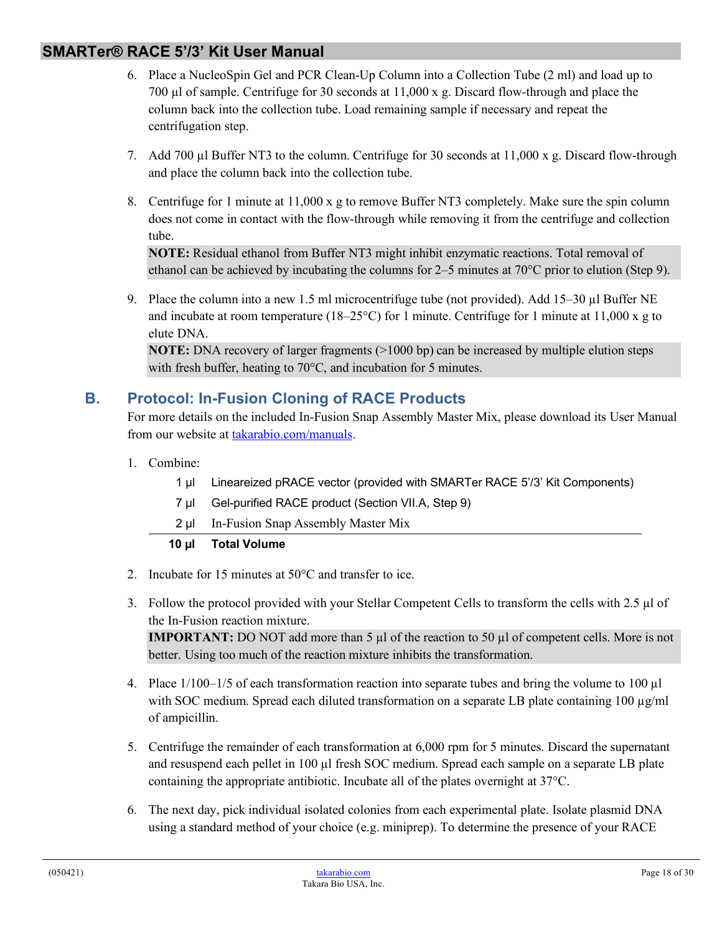- 6. Place a NucleoSpin Gel and PCR Clean-Up Column into a Collection Tube (2 ml) and load up to 700  $\mu$ l of sample. Centrifuge for 30 seconds at 11,000 x g. Discard flow-through and place the column back into the collection tube. Load remaining sample if necessary and repeat the centrifugation step.
- 7. Add 700 µl Buffer NT3 to the column. Centrifuge for 30 seconds at 11,000 x g. Discard flow-through and place the column back into the collection tube.
- 8. Centrifuge for 1 minute at 11,000 x g to remove Buffer NT3 completely. Make sure the spin column does not come in contact with the flow-through while removing it from the centrifuge and collection tube.

**NOTE:** Residual ethanol from Buffer NT3 might inhibit enzymatic reactions. Total removal of ethanol can be achieved by incubating the columns for 2–5 minutes at  $70^{\circ}$ C prior to elution (Step 9).

9. Place the column into a new 1.5 ml microcentrifuge tube (not provided). Add 15–30 µl Buffer NE and incubate at room temperature (18–25°C) for 1 minute. Centrifuge for 1 minute at 11,000 x g to elute DNA.

**NOTE:** DNA recovery of larger fragments (>1000 bp) can be increased by multiple elution steps with fresh buffer, heating to 70°C, and incubation for 5 minutes.

# <span id="page-17-0"></span>**B. Protocol: In-Fusion Cloning of RACE Products**

For more details on the included In-Fusion Snap Assembly Master Mix, please download its User Manual from our website a[t takarabio.com/manuals.](http://www.takarabio.com/manuals)

- 1. Combine:
	- 1 µl Lineareized pRACE vector (provided with SMARTer RACE 5'/3' Kit Components)
	- 7 µl Gel-purified RACE product (Section VII.A, Step 9)
	- 2 µl In-Fusion Snap Assembly Master Mix

#### **10 µl Total Volume**

- 2. Incubate for 15 minutes at  $50^{\circ}$ C and transfer to ice.
- 3. Follow the protocol provided with your Stellar Competent Cells to transform the cells with 2.5 µl of the In-Fusion reaction mixture.

**IMPORTANT:** DO NOT add more than 5 µl of the reaction to 50 µl of competent cells. More is not better. Using too much of the reaction mixture inhibits the transformation.

- 4. Place  $1/100-1/5$  of each transformation reaction into separate tubes and bring the volume to 100  $\mu$ l with SOC medium. Spread each diluted transformation on a separate LB plate containing 100  $\mu$ g/ml of ampicillin.
- 5. Centrifuge the remainder of each transformation at 6,000 rpm for 5 minutes. Discard the supernatant and resuspend each pellet in 100 µl fresh SOC medium. Spread each sample on a separate LB plate containing the appropriate antibiotic. Incubate all of the plates overnight at 37°C.
- 6. The next day, pick individual isolated colonies from each experimental plate. Isolate plasmid DNA using a standard method of your choice (e.g. miniprep). To determine the presence of your RACE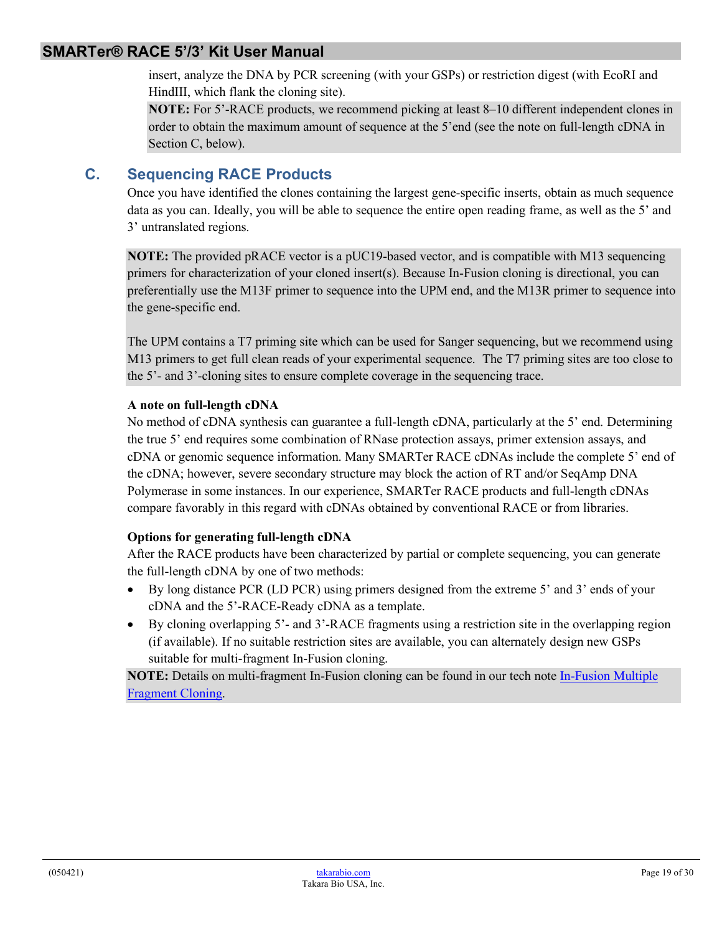insert, analyze the DNA by PCR screening (with your GSPs) or restriction digest (with EcoRI and HindIII, which flank the cloning site).

**NOTE:** For 5'-RACE products, we recommend picking at least 8–10 different independent clones in order to obtain the maximum amount of sequence at the 5'end (see the note on full-length cDNA in Section C, below).

## <span id="page-18-0"></span>**C. Sequencing RACE Products**

Once you have identified the clones containing the largest gene-specific inserts, obtain as much sequence data as you can. Ideally, you will be able to sequence the entire open reading frame, as well as the 5' and 3' untranslated regions.

**NOTE:** The provided pRACE vector is a pUC19-based vector, and is compatible with M13 sequencing primers for characterization of your cloned insert(s). Because In-Fusion cloning is directional, you can preferentially use the M13F primer to sequence into the UPM end, and the M13R primer to sequence into the gene-specific end.

The UPM contains a T7 priming site which can be used for Sanger sequencing, but we recommend using M13 primers to get full clean reads of your experimental sequence. The T7 priming sites are too close to the 5'- and 3'-cloning sites to ensure complete coverage in the sequencing trace.

#### **A note on full-length cDNA**

No method of cDNA synthesis can guarantee a full-length cDNA, particularly at the 5' end. Determining the true 5' end requires some combination of RNase protection assays, primer extension assays, and cDNA or genomic sequence information. Many SMARTer RACE cDNAs include the complete 5' end of the cDNA; however, severe secondary structure may block the action of RT and/or SeqAmp DNA Polymerase in some instances. In our experience, SMARTer RACE products and full-length cDNAs compare favorably in this regard with cDNAs obtained by conventional RACE or from libraries.

#### **Options for generating full-length cDNA**

After the RACE products have been characterized by partial or complete sequencing, you can generate the full-length cDNA by one of two methods:

- By long distance PCR (LD PCR) using primers designed from the extreme 5' and 3' ends of your cDNA and the 5'-RACE-Ready cDNA as a template.
- By cloning overlapping 5'- and 3'-RACE fragments using a restriction site in the overlapping region (if available). If no suitable restriction sites are available, you can alternately design new GSPs suitable for multi-fragment In-Fusion cloning.

**NOTE:** Details on multi-fragment In-Fusion cloning can be found in our tech note [In-Fusion Multiple](http://www.clontech.com/xxclt_ibcGetAttachment.jsp?cItemId=19096)  [Fragment Cloning.](http://www.clontech.com/xxclt_ibcGetAttachment.jsp?cItemId=19096)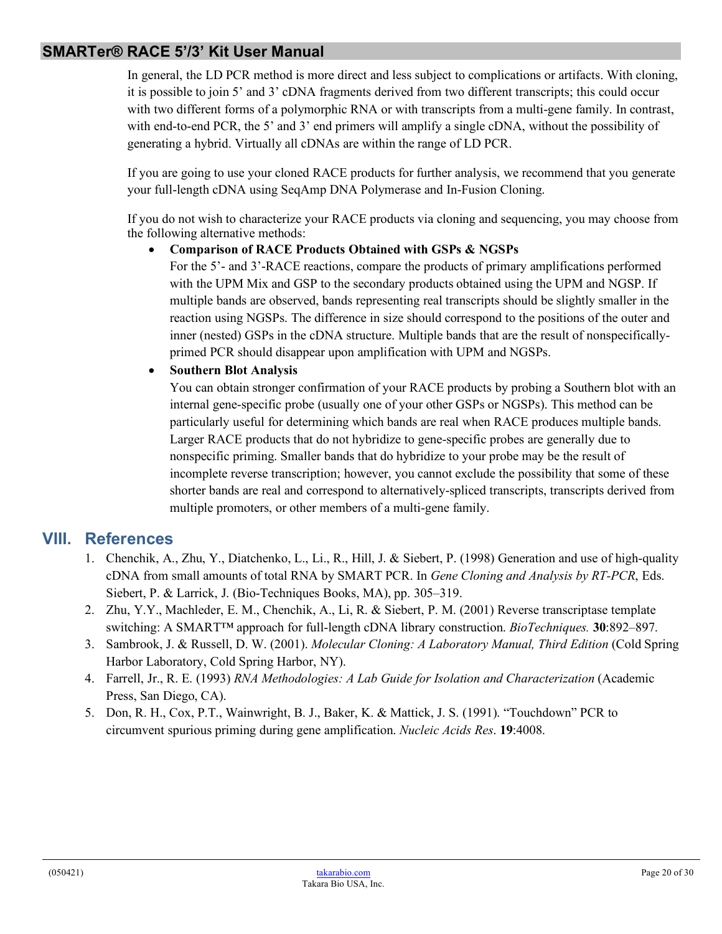In general, the LD PCR method is more direct and less subject to complications or artifacts. With cloning, it is possible to join 5' and 3' cDNA fragments derived from two different transcripts; this could occur with two different forms of a polymorphic RNA or with transcripts from a multi-gene family. In contrast, with end-to-end PCR, the 5' and 3' end primers will amplify a single cDNA, without the possibility of generating a hybrid. Virtually all cDNAs are within the range of LD PCR.

If you are going to use your cloned RACE products for further analysis, we recommend that you generate your full-length cDNA using SeqAmp DNA Polymerase and In-Fusion Cloning.

If you do not wish to characterize your RACE products via cloning and sequencing, you may choose from the following alternative methods:

• **Comparison of RACE Products Obtained with GSPs & NGSPs**

For the 5'- and 3'-RACE reactions, compare the products of primary amplifications performed with the UPM Mix and GSP to the secondary products obtained using the UPM and NGSP. If multiple bands are observed, bands representing real transcripts should be slightly smaller in the reaction using NGSPs. The difference in size should correspond to the positions of the outer and inner (nested) GSPs in the cDNA structure. Multiple bands that are the result of nonspecificallyprimed PCR should disappear upon amplification with UPM and NGSPs.

• **Southern Blot Analysis**

You can obtain stronger confirmation of your RACE products by probing a Southern blot with an internal gene-specific probe (usually one of your other GSPs or NGSPs). This method can be particularly useful for determining which bands are real when RACE produces multiple bands. Larger RACE products that do not hybridize to gene-specific probes are generally due to nonspecific priming. Smaller bands that do hybridize to your probe may be the result of incomplete reverse transcription; however, you cannot exclude the possibility that some of these shorter bands are real and correspond to alternatively-spliced transcripts, transcripts derived from multiple promoters, or other members of a multi-gene family.

## <span id="page-19-0"></span>**VIII. References**

- 1. Chenchik, A., Zhu, Y., Diatchenko, L., Li., R., Hill, J. & Siebert, P. (1998) Generation and use of high-quality cDNA from small amounts of total RNA by SMART PCR. In *Gene Cloning and Analysis by RT-PCR*, Eds. Siebert, P. & Larrick, J. (Bio-Techniques Books, MA), pp. 305–319.
- 2. Zhu, Y.Y., Machleder, E. M., Chenchik, A., Li, R. & Siebert, P. M. (2001) Reverse transcriptase template switching: A SMART™ approach for full-length cDNA library construction. *BioTechniques.* **30**:892–897.
- 3. Sambrook, J. & Russell, D. W. (2001). *Molecular Cloning: A Laboratory Manual, Third Edition* (Cold Spring Harbor Laboratory, Cold Spring Harbor, NY).
- 4. Farrell, Jr., R. E. (1993) *RNA Methodologies: A Lab Guide for Isolation and Characterization* (Academic Press, San Diego, CA).
- 5. Don, R. H., Cox, P.T., Wainwright, B. J., Baker, K. & Mattick, J. S. (1991). "Touchdown" PCR to circumvent spurious priming during gene amplification. *Nucleic Acids Res*. **19**:4008.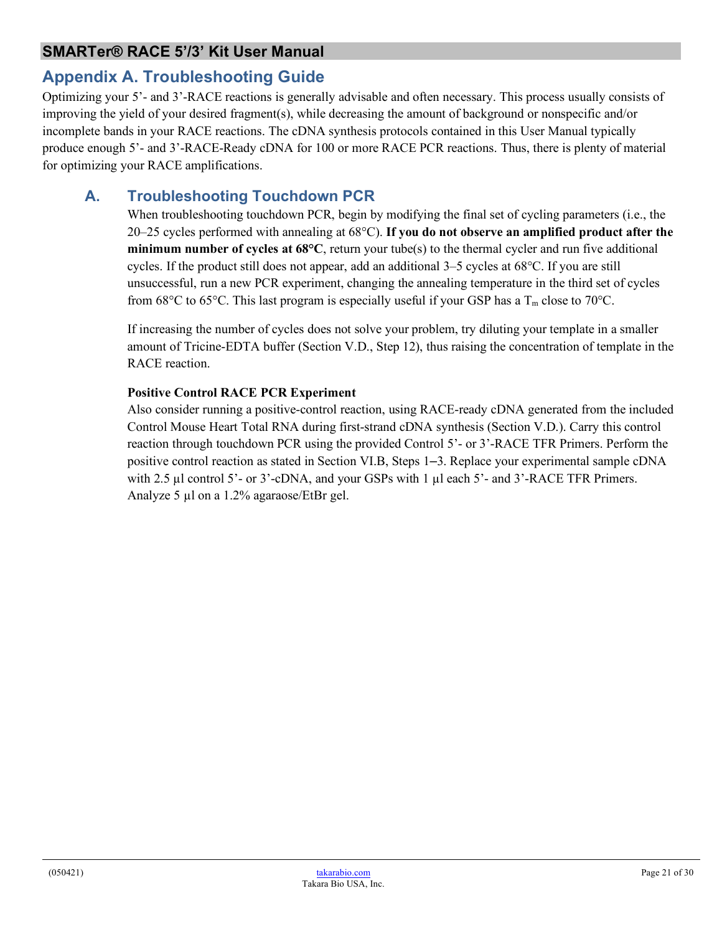# <span id="page-20-0"></span>**Appendix A. Troubleshooting Guide**

Optimizing your 5'- and 3'-RACE reactions is generally advisable and often necessary. This process usually consists of improving the yield of your desired fragment(s), while decreasing the amount of background or nonspecific and/or incomplete bands in your RACE reactions. The cDNA synthesis protocols contained in this User Manual typically produce enough 5'- and 3'-RACE-Ready cDNA for 100 or more RACE PCR reactions. Thus, there is plenty of material for optimizing your RACE amplifications.

# <span id="page-20-1"></span>**A. Troubleshooting Touchdown PCR**

When troubleshooting touchdown PCR, begin by modifying the final set of cycling parameters (i.e., the 20–25 cycles performed with annealing at 68°C). **If you do not observe an amplified product after the minimum number of cycles at 68°C**, return your tube(s) to the thermal cycler and run five additional cycles. If the product still does not appear, add an additional 3–5 cycles at 68°C. If you are still unsuccessful, run a new PCR experiment, changing the annealing temperature in the third set of cycles from 68°C to 65°C. This last program is especially useful if your GSP has a  $T_m$  close to 70°C.

If increasing the number of cycles does not solve your problem, try diluting your template in a smaller amount of Tricine-EDTA buffer (Section V.D., Step 12), thus raising the concentration of template in the RACE reaction.

#### **Positive Control RACE PCR Experiment**

Also consider running a positive-control reaction, using RACE-ready cDNA generated from the included Control Mouse Heart Total RNA during first-strand cDNA synthesis (Section V.D.). Carry this control reaction through touchdown PCR using the provided Control 5'- or 3'-RACE TFR Primers. Perform the positive control reaction as stated in Section VI.B, Steps 1–3. Replace your experimental sample cDNA with 2.5  $\mu$ l control 5'- or 3'-cDNA, and your GSPs with 1  $\mu$ l each 5'- and 3'-RACE TFR Primers. Analyze 5 µl on a 1.2% agaraose/EtBr gel.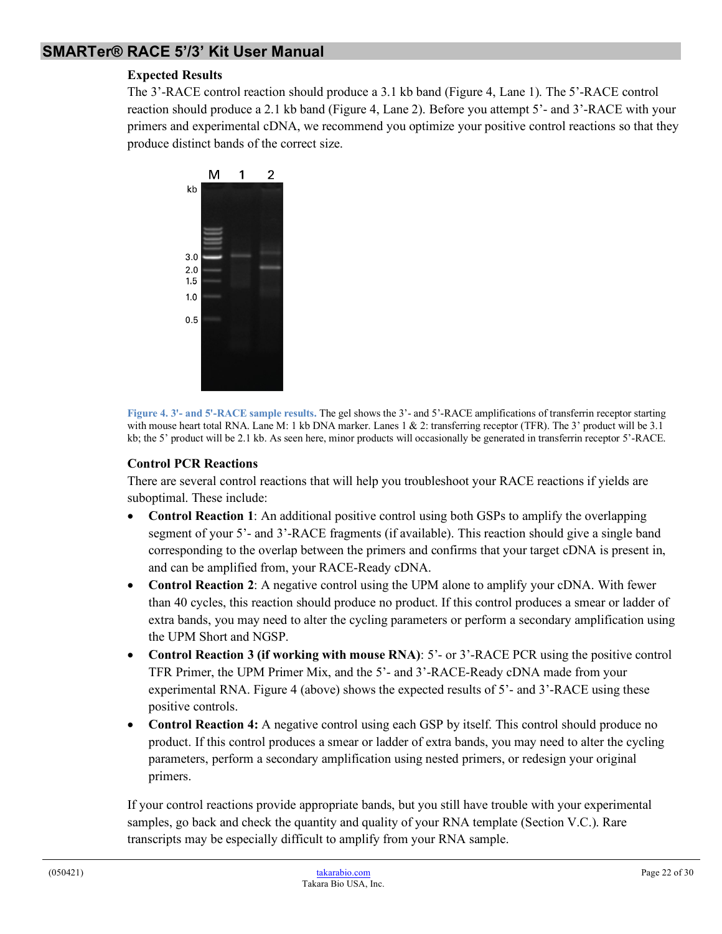#### **Expected Results**

The 3'-RACE control reaction should produce a 3.1 kb band (Figure 4, Lane 1). The 5'-RACE control reaction should produce a 2.1 kb band (Figure 4, Lane 2). Before you attempt 5'- and 3'-RACE with your primers and experimental cDNA, we recommend you optimize your positive control reactions so that they produce distinct bands of the correct size.



<span id="page-21-0"></span>**Figure 4. 3'- and 5'-RACE sample results.** The gel shows the 3'- and 5'-RACE amplifications of transferrin receptor starting with mouse heart total RNA. Lane M: 1 kb DNA marker. Lanes 1 & 2: transferring receptor (TFR). The 3' product will be 3.1 kb; the 5' product will be 2.1 kb. As seen here, minor products will occasionally be generated in transferrin receptor 5'-RACE.

#### **Control PCR Reactions**

There are several control reactions that will help you troubleshoot your RACE reactions if yields are suboptimal. These include:

- **Control Reaction 1**: An additional positive control using both GSPs to amplify the overlapping segment of your 5'- and 3'-RACE fragments (if available). This reaction should give a single band corresponding to the overlap between the primers and confirms that your target cDNA is present in, and can be amplified from, your RACE-Ready cDNA.
- **Control Reaction 2**: A negative control using the UPM alone to amplify your cDNA. With fewer than 40 cycles, this reaction should produce no product. If this control produces a smear or ladder of extra bands, you may need to alter the cycling parameters or perform a secondary amplification using the UPM Short and NGSP.
- **Control Reaction 3 (if working with mouse RNA)**: 5'- or 3'-RACE PCR using the positive control TFR Primer, the UPM Primer Mix, and the 5'- and 3'-RACE-Ready cDNA made from your experimental RNA. Figure 4 (above) shows the expected results of 5'- and 3'-RACE using these positive controls.
- **Control Reaction 4:** A negative control using each GSP by itself. This control should produce no product. If this control produces a smear or ladder of extra bands, you may need to alter the cycling parameters, perform a secondary amplification using nested primers, or redesign your original primers.

If your control reactions provide appropriate bands, but you still have trouble with your experimental samples, go back and check the quantity and quality of your RNA template (Section V.C.). Rare transcripts may be especially difficult to amplify from your RNA sample.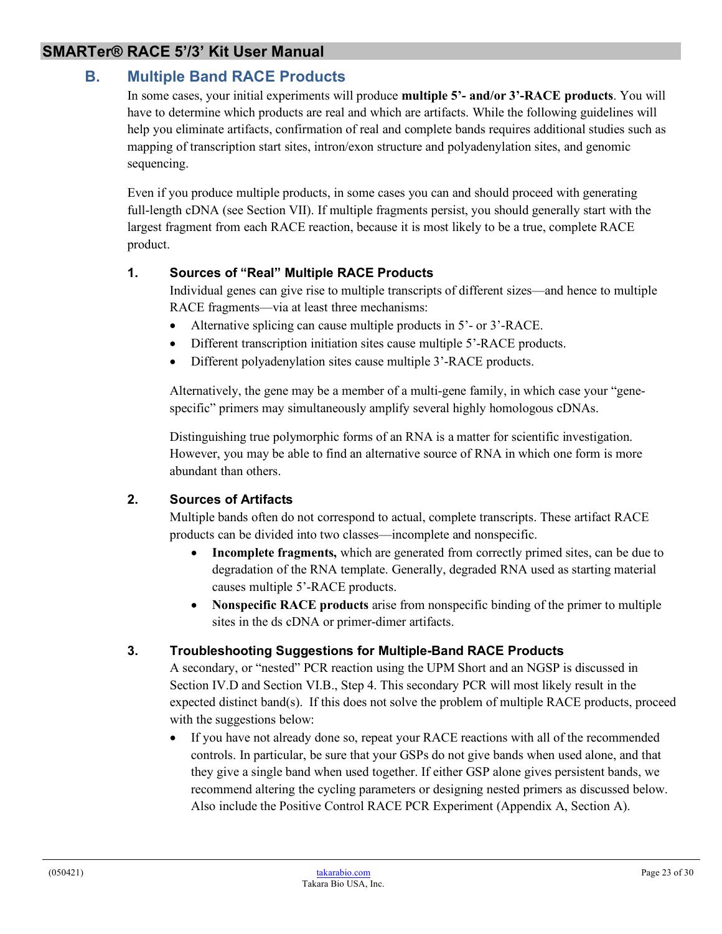## <span id="page-22-0"></span>**B. Multiple Band RACE Products**

In some cases, your initial experiments will produce **multiple 5'- and/or 3'-RACE products**. You will have to determine which products are real and which are artifacts. While the following guidelines will help you eliminate artifacts, confirmation of real and complete bands requires additional studies such as mapping of transcription start sites, intron/exon structure and polyadenylation sites, and genomic sequencing.

Even if you produce multiple products, in some cases you can and should proceed with generating full-length cDNA (see Section VII). If multiple fragments persist, you should generally start with the largest fragment from each RACE reaction, because it is most likely to be a true, complete RACE product.

#### **1. Sources of "Real" Multiple RACE Products**

Individual genes can give rise to multiple transcripts of different sizes—and hence to multiple RACE fragments—via at least three mechanisms:

- Alternative splicing can cause multiple products in 5'- or 3'-RACE.
- Different transcription initiation sites cause multiple 5'-RACE products.
- Different polyadenylation sites cause multiple 3'-RACE products.

Alternatively, the gene may be a member of a multi-gene family, in which case your "genespecific" primers may simultaneously amplify several highly homologous cDNAs.

Distinguishing true polymorphic forms of an RNA is a matter for scientific investigation. However, you may be able to find an alternative source of RNA in which one form is more abundant than others.

#### **2. Sources of Artifacts**

Multiple bands often do not correspond to actual, complete transcripts. These artifact RACE products can be divided into two classes—incomplete and nonspecific.

- **Incomplete fragments,** which are generated from correctly primed sites, can be due to degradation of the RNA template. Generally, degraded RNA used as starting material causes multiple 5'-RACE products.
- **Nonspecific RACE products** arise from nonspecific binding of the primer to multiple sites in the ds cDNA or primer-dimer artifacts.

#### **3. Troubleshooting Suggestions for Multiple-Band RACE Products**

A secondary, or "nested" PCR reaction using the UPM Short and an NGSP is discussed in Section IV.D and Section VI.B., Step 4. This secondary PCR will most likely result in the expected distinct band(s). If this does not solve the problem of multiple RACE products, proceed with the suggestions below:

• If you have not already done so, repeat your RACE reactions with all of the recommended controls. In particular, be sure that your GSPs do not give bands when used alone, and that they give a single band when used together. If either GSP alone gives persistent bands, we recommend altering the cycling parameters or designing nested primers as discussed below. Also include the Positive Control RACE PCR Experiment (Appendix A, Section A).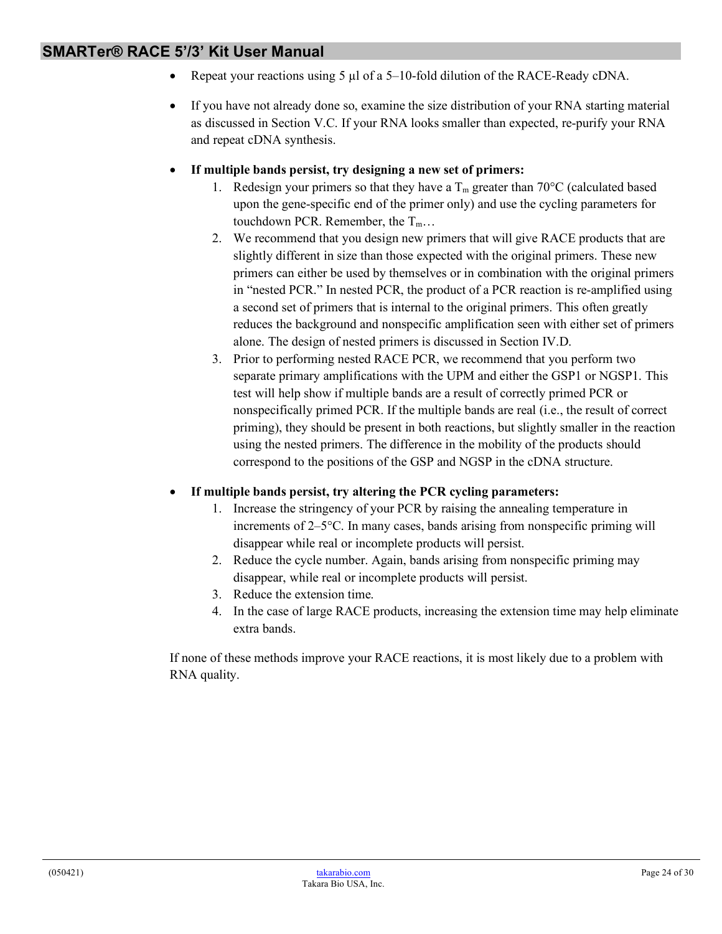- Repeat your reactions using 5 µl of a 5–10-fold dilution of the RACE-Ready cDNA.
- If you have not already done so, examine the size distribution of your RNA starting material as discussed in Section V.C. If your RNA looks smaller than expected, re-purify your RNA and repeat cDNA synthesis.
- **If multiple bands persist, try designing a new set of primers:**
	- 1. Redesign your primers so that they have a  $T_m$  greater than 70°C (calculated based upon the gene-specific end of the primer only) and use the cycling parameters for touchdown PCR. Remember, the  $T_m$ ...
	- 2. We recommend that you design new primers that will give RACE products that are slightly different in size than those expected with the original primers. These new primers can either be used by themselves or in combination with the original primers in "nested PCR." In nested PCR, the product of a PCR reaction is re-amplified using a second set of primers that is internal to the original primers. This often greatly reduces the background and nonspecific amplification seen with either set of primers alone. The design of nested primers is discussed in Section IV.D.
	- 3. Prior to performing nested RACE PCR, we recommend that you perform two separate primary amplifications with the UPM and either the GSP1 or NGSP1. This test will help show if multiple bands are a result of correctly primed PCR or nonspecifically primed PCR. If the multiple bands are real (i.e., the result of correct priming), they should be present in both reactions, but slightly smaller in the reaction using the nested primers. The difference in the mobility of the products should correspond to the positions of the GSP and NGSP in the cDNA structure.

#### • **If multiple bands persist, try altering the PCR cycling parameters:**

- 1. Increase the stringency of your PCR by raising the annealing temperature in increments of 2–5°C. In many cases, bands arising from nonspecific priming will disappear while real or incomplete products will persist.
- 2. Reduce the cycle number. Again, bands arising from nonspecific priming may disappear, while real or incomplete products will persist.
- 3. Reduce the extension time.
- 4. In the case of large RACE products, increasing the extension time may help eliminate extra bands.

If none of these methods improve your RACE reactions, it is most likely due to a problem with RNA quality.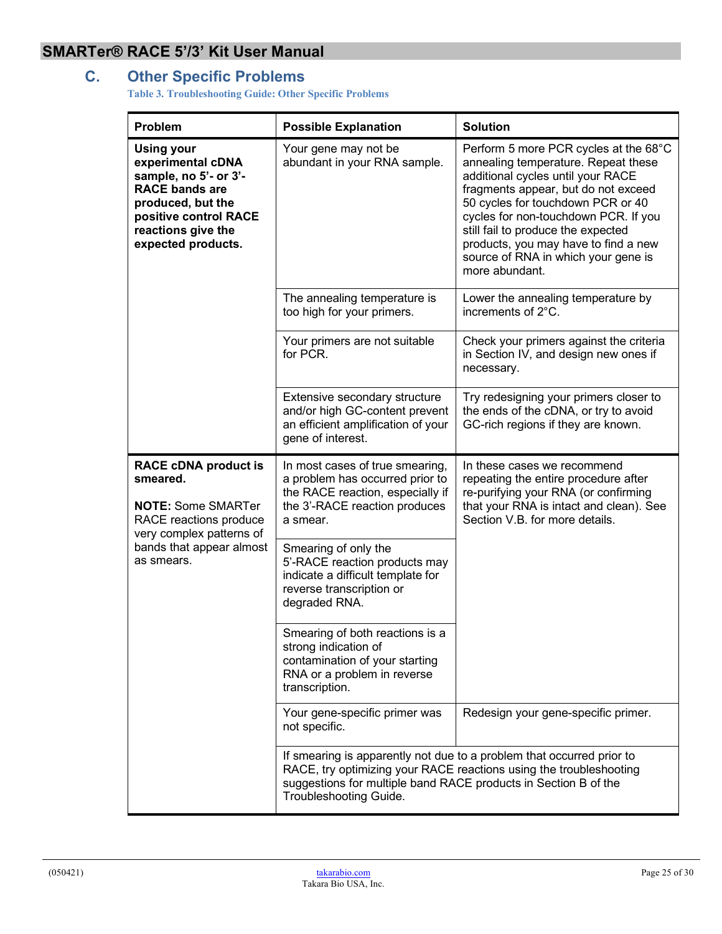# <span id="page-24-1"></span><span id="page-24-0"></span>**C. Other Specific Problems**

**Table 3. Troubleshooting Guide: Other Specific Problems**

| Problem                                                                                                                                                                            | <b>Possible Explanation</b>                                                                                                                         | <b>Solution</b>                                                                                                                                                                                                                                                                                                                                                              |
|------------------------------------------------------------------------------------------------------------------------------------------------------------------------------------|-----------------------------------------------------------------------------------------------------------------------------------------------------|------------------------------------------------------------------------------------------------------------------------------------------------------------------------------------------------------------------------------------------------------------------------------------------------------------------------------------------------------------------------------|
| <b>Using your</b><br>experimental cDNA<br>sample, no 5'- or 3'-<br><b>RACE bands are</b><br>produced, but the<br>positive control RACE<br>reactions give the<br>expected products. | Your gene may not be<br>abundant in your RNA sample.                                                                                                | Perform 5 more PCR cycles at the 68°C<br>annealing temperature. Repeat these<br>additional cycles until your RACE<br>fragments appear, but do not exceed<br>50 cycles for touchdown PCR or 40<br>cycles for non-touchdown PCR. If you<br>still fail to produce the expected<br>products, you may have to find a new<br>source of RNA in which your gene is<br>more abundant. |
|                                                                                                                                                                                    | The annealing temperature is<br>too high for your primers.                                                                                          | Lower the annealing temperature by<br>increments of 2°C.                                                                                                                                                                                                                                                                                                                     |
|                                                                                                                                                                                    | Your primers are not suitable<br>for PCR.                                                                                                           | Check your primers against the criteria<br>in Section IV, and design new ones if<br>necessary.                                                                                                                                                                                                                                                                               |
|                                                                                                                                                                                    | Extensive secondary structure<br>and/or high GC-content prevent<br>an efficient amplification of your<br>gene of interest.                          | Try redesigning your primers closer to<br>the ends of the cDNA, or try to avoid<br>GC-rich regions if they are known.                                                                                                                                                                                                                                                        |
| <b>RACE cDNA product is</b><br>smeared.<br><b>NOTE: Some SMARTer</b><br>RACE reactions produce<br>very complex patterns of                                                         | In most cases of true smearing,<br>a problem has occurred prior to<br>the RACE reaction, especially if<br>the 3'-RACE reaction produces<br>a smear. | In these cases we recommend<br>repeating the entire procedure after<br>re-purifying your RNA (or confirming<br>that your RNA is intact and clean). See<br>Section V.B. for more details.                                                                                                                                                                                     |
| bands that appear almost<br>as smears.                                                                                                                                             | Smearing of only the<br>5'-RACE reaction products may<br>indicate a difficult template for<br>reverse transcription or<br>degraded RNA.             |                                                                                                                                                                                                                                                                                                                                                                              |
|                                                                                                                                                                                    | Smearing of both reactions is a<br>strong indication of<br>contamination of your starting<br>RNA or a problem in reverse<br>transcription.          |                                                                                                                                                                                                                                                                                                                                                                              |
|                                                                                                                                                                                    | Your gene-specific primer was<br>not specific.                                                                                                      | Redesign your gene-specific primer.                                                                                                                                                                                                                                                                                                                                          |
|                                                                                                                                                                                    | suggestions for multiple band RACE products in Section B of the<br>Troubleshooting Guide.                                                           | If smearing is apparently not due to a problem that occurred prior to<br>RACE, try optimizing your RACE reactions using the troubleshooting                                                                                                                                                                                                                                  |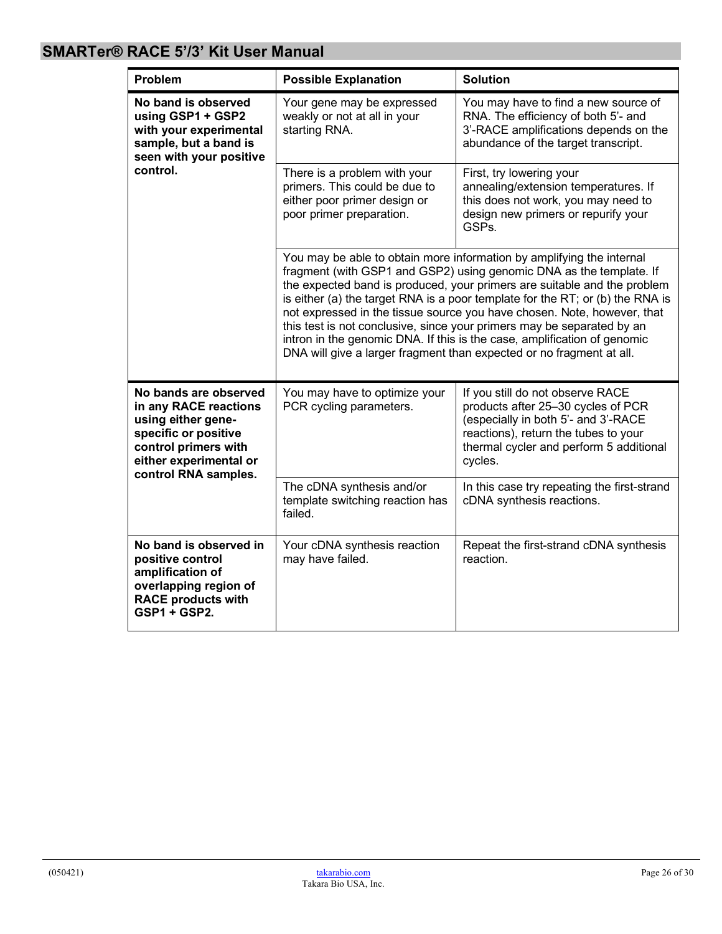| Problem                                                                                                                                                                | <b>Possible Explanation</b>                                                                                               | <b>Solution</b>                                                                                                                                                                                                                                                                                                                                                                                                                                                                                                                                                                                                    |
|------------------------------------------------------------------------------------------------------------------------------------------------------------------------|---------------------------------------------------------------------------------------------------------------------------|--------------------------------------------------------------------------------------------------------------------------------------------------------------------------------------------------------------------------------------------------------------------------------------------------------------------------------------------------------------------------------------------------------------------------------------------------------------------------------------------------------------------------------------------------------------------------------------------------------------------|
| No band is observed<br>using GSP1 + GSP2<br>with your experimental<br>sample, but a band is<br>seen with your positive                                                 | Your gene may be expressed<br>weakly or not at all in your<br>starting RNA.                                               | You may have to find a new source of<br>RNA. The efficiency of both 5'- and<br>3'-RACE amplifications depends on the<br>abundance of the target transcript.                                                                                                                                                                                                                                                                                                                                                                                                                                                        |
| control.                                                                                                                                                               | There is a problem with your<br>primers. This could be due to<br>either poor primer design or<br>poor primer preparation. | First, try lowering your<br>annealing/extension temperatures. If<br>this does not work, you may need to<br>design new primers or repurify your<br>GSP <sub>s.</sub>                                                                                                                                                                                                                                                                                                                                                                                                                                                |
|                                                                                                                                                                        |                                                                                                                           | You may be able to obtain more information by amplifying the internal<br>fragment (with GSP1 and GSP2) using genomic DNA as the template. If<br>the expected band is produced, your primers are suitable and the problem<br>is either (a) the target RNA is a poor template for the RT; or (b) the RNA is<br>not expressed in the tissue source you have chosen. Note, however, that<br>this test is not conclusive, since your primers may be separated by an<br>intron in the genomic DNA. If this is the case, amplification of genomic<br>DNA will give a larger fragment than expected or no fragment at all. |
| No bands are observed<br>in any RACE reactions<br>using either gene-<br>specific or positive<br>control primers with<br>either experimental or<br>control RNA samples. | You may have to optimize your<br>PCR cycling parameters.                                                                  | If you still do not observe RACE<br>products after 25-30 cycles of PCR<br>(especially in both 5'- and 3'-RACE<br>reactions), return the tubes to your<br>thermal cycler and perform 5 additional<br>cycles.                                                                                                                                                                                                                                                                                                                                                                                                        |
|                                                                                                                                                                        | The cDNA synthesis and/or<br>template switching reaction has<br>failed.                                                   | In this case try repeating the first-strand<br>cDNA synthesis reactions.                                                                                                                                                                                                                                                                                                                                                                                                                                                                                                                                           |
| No band is observed in<br>positive control<br>amplification of<br>overlapping region of<br><b>RACE products with</b><br><b>GSP1 + GSP2.</b>                            | Your cDNA synthesis reaction<br>may have failed.                                                                          | Repeat the first-strand cDNA synthesis<br>reaction.                                                                                                                                                                                                                                                                                                                                                                                                                                                                                                                                                                |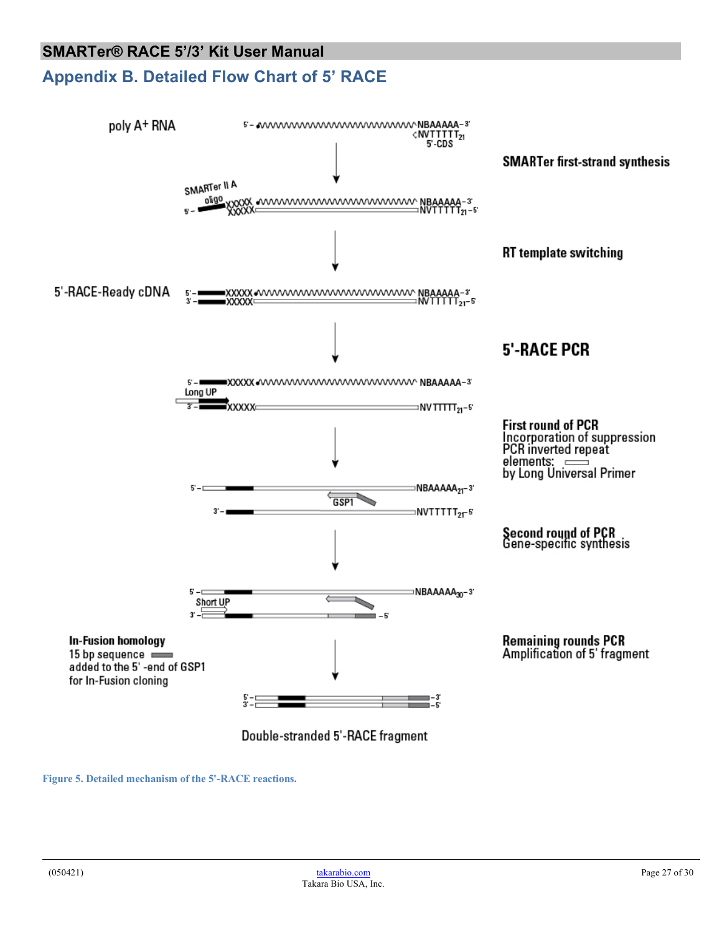# <span id="page-26-0"></span>**Appendix B. Detailed Flow Chart of 5' RACE**



Double-stranded 5'-RACE fragment

<span id="page-26-1"></span>**Figure 5. Detailed mechanism of the 5'-RACE reactions.**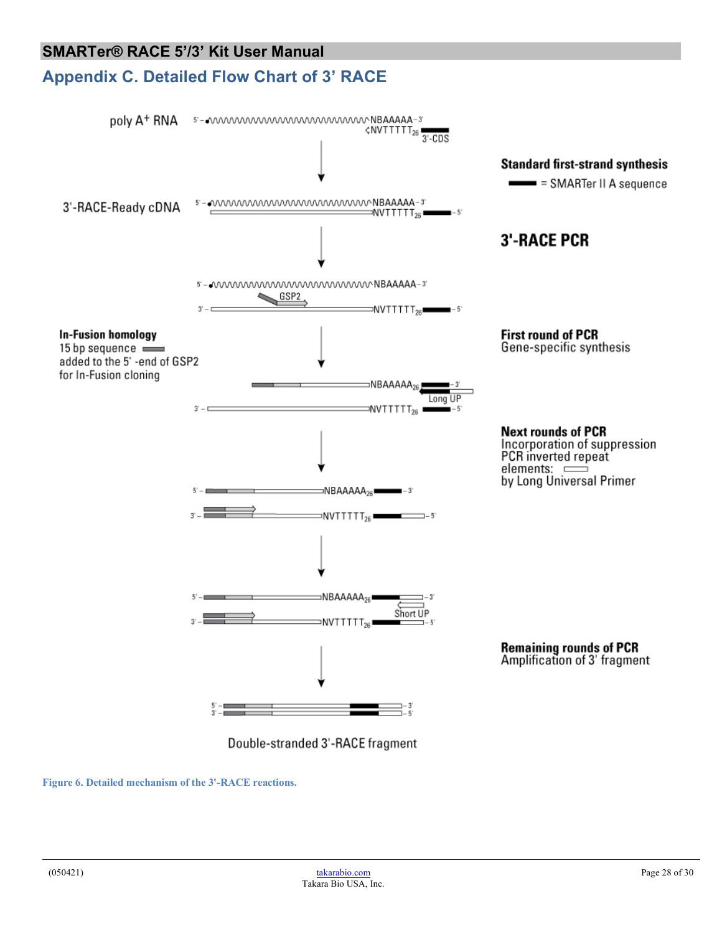# <span id="page-27-0"></span>**Appendix C. Detailed Flow Chart of 3' RACE**



Double-stranded 3'-RACE fragment

<span id="page-27-1"></span>**Figure 6. Detailed mechanism of the 3'-RACE reactions.**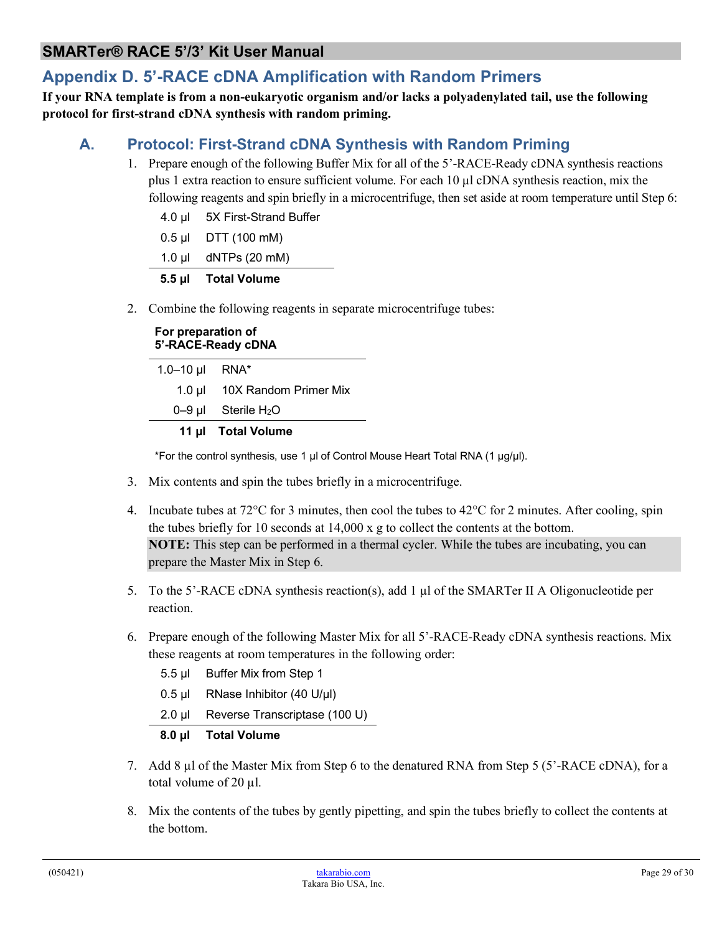# <span id="page-28-0"></span>**Appendix D. 5'-RACE cDNA Amplification with Random Primers**

**If your RNA template is from a non-eukaryotic organism and/or lacks a polyadenylated tail, use the following protocol for first-strand cDNA synthesis with random priming.**

# <span id="page-28-1"></span>**A. Protocol: First-Strand cDNA Synthesis with Random Priming**

- 1. Prepare enough of the following Buffer Mix for all of the 5'-RACE-Ready cDNA synthesis reactions plus 1 extra reaction to ensure sufficient volume. For each 10 µl cDNA synthesis reaction, mix the following reagents and spin briefly in a microcentrifuge, then set aside at room temperature until Step 6:
	- 4.0 µl 5X First-Strand Buffer

| $0.5$ µl | DTT (100 mM) |
|----------|--------------|
|----------|--------------|

1.0 µl dNTPs (20 mM)

#### **5.5 µl Total Volume**

2. Combine the following reagents in separate microcentrifuge tubes:

#### **For preparation of 5'-RACE-Ready cDNA**

1.0–10 µl RNA\* 1.0 µl 10X Random Primer Mix 0–9 µl Sterile H2O **11 µl Total Volume**

\*For the control synthesis, use 1 µl of Control Mouse Heart Total RNA (1 µg/µl).

- 3. Mix contents and spin the tubes briefly in a microcentrifuge.
- 4. Incubate tubes at 72°C for 3 minutes, then cool the tubes to 42°C for 2 minutes. After cooling, spin the tubes briefly for 10 seconds at 14,000 x g to collect the contents at the bottom. **NOTE:** This step can be performed in a thermal cycler. While the tubes are incubating, you can prepare the Master Mix in Step 6.
- 5. To the 5'-RACE cDNA synthesis reaction(s), add 1 µl of the SMARTer II A Oligonucleotide per reaction.
- 6. Prepare enough of the following Master Mix for all 5'-RACE-Ready cDNA synthesis reactions. Mix these reagents at room temperatures in the following order:
	- 5.5 µl Buffer Mix from Step 1
	- 0.5 µl RNase Inhibitor (40 U/µl)
	- 2.0 µl Reverse Transcriptase (100 U)

**8.0 µl Total Volume**

- 7. Add 8 µl of the Master Mix from Step 6 to the denatured RNA from Step 5 (5'-RACE cDNA), for a total volume of 20 µl.
- 8. Mix the contents of the tubes by gently pipetting, and spin the tubes briefly to collect the contents at the bottom.